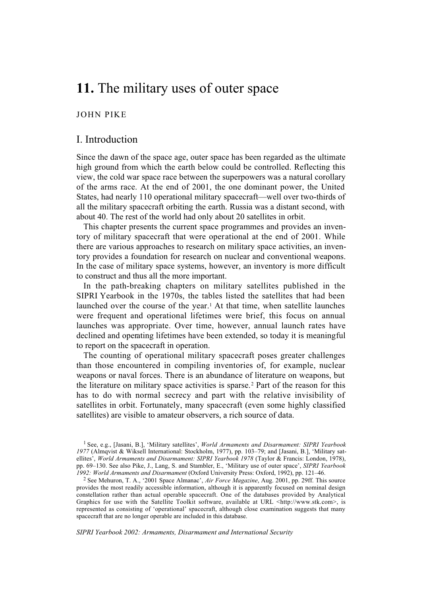# **11.** The military uses of outer space

## JOHN PIKE

## I. Introduction

Since the dawn of the space age, outer space has been regarded as the ultimate high ground from which the earth below could be controlled. Reflecting this view, the cold war space race between the superpowers was a natural corollary of the arms race. At the end of 2001, the one dominant power, the United States, had nearly 110 operational military spacecraft—well over two-thirds of all the military spacecraft orbiting the earth. Russia was a distant second, with about 40. The rest of the world had only about 20 satellites in orbit.

This chapter presents the current space programmes and provides an inventory of military spacecraft that were operational at the end of 2001. While there are various approaches to research on military space activities, an inventory provides a foundation for research on nuclear and conventional weapons. In the case of military space systems, however, an inventory is more difficult to construct and thus all the more important.

In the path-breaking chapters on military satellites published in the SIPRI Yearbook in the 1970s, the tables listed the satellites that had been launched over the course of the year.<sup>1</sup> At that time, when satellite launches were frequent and operational lifetimes were brief, this focus on annual launches was appropriate. Over time, however, annual launch rates have declined and operating lifetimes have been extended, so today it is meaningful to report on the spacecraft in operation.

The counting of operational military spacecraft poses greater challenges than those encountered in compiling inventories of, for example, nuclear weapons or naval forces. There is an abundance of literature on weapons, but the literature on military space activities is sparse.2 Part of the reason for this has to do with normal secrecy and part with the relative invisibility of satellites in orbit. Fortunately, many spacecraft (even some highly classified satellites) are visible to amateur observers, a rich source of data.

*SIPRI Yearbook 2002: Armaments, Disarmament and International Security*

<sup>1</sup> See, e.g., [Jasani, B.], 'Military satellites', *World Armaments and Disarmament: SIPRI Yearbook 1977* (Almqvist & Wiksell International: Stockholm, 1977), pp. 103–79; and [Jasani, B.], 'Military satellites', *World Armaments and Disarmament: SIPRI Yearbook 1978* (Taylor & Francis: London, 1978), pp. 69–130. See also Pike, J., Lang, S. and Stambler, E., 'Military use of outer space', *SIPRI Yearbook 1992: World Armaments and Disarmament* (Oxford University Press: Oxford, 1992), pp. 121–46.

<sup>2</sup> See Mehuron, T. A., '2001 Space Almanac', *Air Force Magazine*, Aug. 2001, pp. 29ff. This source provides the most readily accessible information, although it is apparently focused on nominal design constellation rather than actual operable spacecraft. One of the databases provided by Analytical Graphics for use with the Satellite Toolkit software, available at URL <http://www.stk.com>, is represented as consisting of 'operational' spacecraft, although close examination suggests that many spacecraft that are no longer operable are included in this database.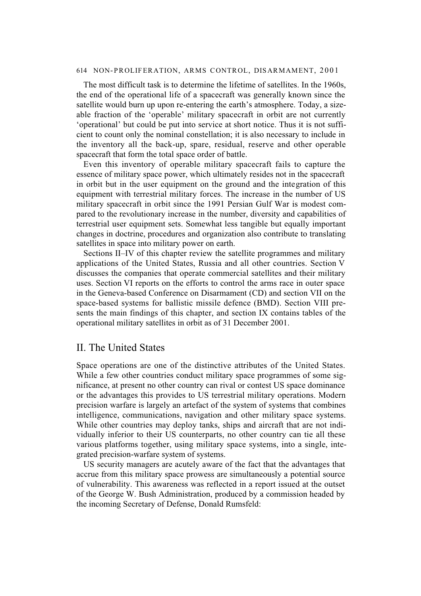The most difficult task is to determine the lifetime of satellites. In the 1960s, the end of the operational life of a spacecraft was generally known since the satellite would burn up upon re-entering the earth's atmosphere. Today, a sizeable fraction of the 'operable' military spacecraft in orbit are not currently 'operational' but could be put into service at short notice. Thus it is not sufficient to count only the nominal constellation; it is also necessary to include in the inventory all the back-up, spare, residual, reserve and other operable spacecraft that form the total space order of battle.

Even this inventory of operable military spacecraft fails to capture the essence of military space power, which ultimately resides not in the spacecraft in orbit but in the user equipment on the ground and the integration of this equipment with terrestrial military forces. The increase in the number of US military spacecraft in orbit since the 1991 Persian Gulf War is modest compared to the revolutionary increase in the number, diversity and capabilities of terrestrial user equipment sets. Somewhat less tangible but equally important changes in doctrine, procedures and organization also contribute to translating satellites in space into military power on earth.

Sections II–IV of this chapter review the satellite programmes and military applications of the United States, Russia and all other countries. Section V discusses the companies that operate commercial satellites and their military uses. Section VI reports on the efforts to control the arms race in outer space in the Geneva-based Conference on Disarmament (CD) and section VII on the space-based systems for ballistic missile defence (BMD). Section VIII presents the main findings of this chapter, and section IX contains tables of the operational military satellites in orbit as of 31 December 2001.

## II. The United States

Space operations are one of the distinctive attributes of the United States. While a few other countries conduct military space programmes of some significance, at present no other country can rival or contest US space dominance or the advantages this provides to US terrestrial military operations. Modern precision warfare is largely an artefact of the system of systems that combines intelligence, communications, navigation and other military space systems. While other countries may deploy tanks, ships and aircraft that are not individually inferior to their US counterparts, no other country can tie all these various platforms together, using military space systems, into a single, integrated precision-warfare system of systems.

US security managers are acutely aware of the fact that the advantages that accrue from this military space prowess are simultaneously a potential source of vulnerability. This awareness was reflected in a report issued at the outset of the George W. Bush Administration, produced by a commission headed by the incoming Secretary of Defense, Donald Rumsfeld: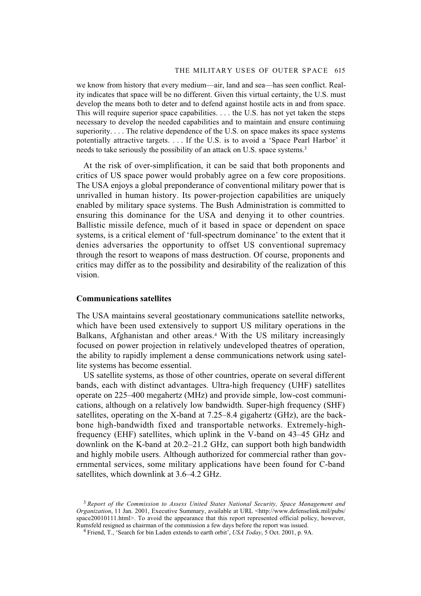we know from history that every medium—air, land and sea—has seen conflict. Reality indicates that space will be no different. Given this virtual certainty, the U.S. must develop the means both to deter and to defend against hostile acts in and from space. This will require superior space capabilities. . . . the U.S. has not yet taken the steps necessary to develop the needed capabilities and to maintain and ensure continuing superiority. . . . The relative dependence of the U.S. on space makes its space systems potentially attractive targets. . . . If the U.S. is to avoid a 'Space Pearl Harbor' it needs to take seriously the possibility of an attack on U.S. space systems.3

At the risk of over-simplification, it can be said that both proponents and critics of US space power would probably agree on a few core propositions. The USA enjoys a global preponderance of conventional military power that is unrivalled in human history. Its power-projection capabilities are uniquely enabled by military space systems. The Bush Administration is committed to ensuring this dominance for the USA and denying it to other countries. Ballistic missile defence, much of it based in space or dependent on space systems, is a critical element of 'full-spectrum dominance' to the extent that it denies adversaries the opportunity to offset US conventional supremacy through the resort to weapons of mass destruction. Of course, proponents and critics may differ as to the possibility and desirability of the realization of this vision.

### **Communications satellites**

The USA maintains several geostationary communications satellite networks, which have been used extensively to support US military operations in the Balkans, Afghanistan and other areas.4 With the US military increasingly focused on power projection in relatively undeveloped theatres of operation, the ability to rapidly implement a dense communications network using satellite systems has become essential.

US satellite systems, as those of other countries, operate on several different bands, each with distinct advantages. Ultra-high frequency (UHF) satellites operate on 225–400 megahertz (MHz) and provide simple, low-cost communications, although on a relatively low bandwidth. Super-high frequency (SHF) satellites, operating on the X-band at 7.25–8.4 gigahertz (GHz), are the backbone high-bandwidth fixed and transportable networks. Extremely-highfrequency (EHF) satellites, which uplink in the V-band on 43–45 GHz and downlink on the K-band at 20.2–21.2 GHz, can support both high bandwidth and highly mobile users. Although authorized for commercial rather than governmental services, some military applications have been found for C-band satellites, which downlink at 3.6–4.2 GHz.

<sup>3</sup> *Report of the Commission to Assess United States National Security, Space Management and Organization*, 11 Jan. 2001, Executive Summary, available at URL <http://www.defenselink.mil/pubs/ space20010111.html>. To avoid the appearance that this report represented official policy, however, Rumsfeld resigned as chairman of the commission a few days before the report was issued.

<sup>4</sup> Friend, T., 'Search for bin Laden extends to earth orbit', *USA Today*, 5 Oct. 2001, p. 9A.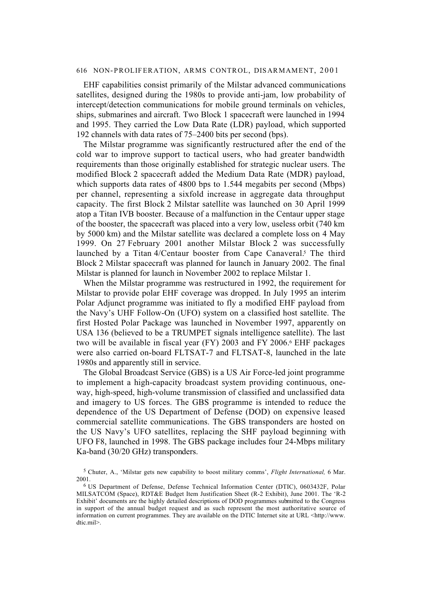EHF capabilities consist primarily of the Milstar advanced communications satellites, designed during the 1980s to provide anti-jam, low probability of intercept/detection communications for mobile ground terminals on vehicles, ships, submarines and aircraft. Two Block 1 spacecraft were launched in 1994 and 1995. They carried the Low Data Rate (LDR) payload, which supported 192 channels with data rates of 75–2400 bits per second (bps).

The Milstar programme was significantly restructured after the end of the cold war to improve support to tactical users, who had greater bandwidth requirements than those originally established for strategic nuclear users. The modified Block 2 spacecraft added the Medium Data Rate (MDR) payload, which supports data rates of 4800 bps to 1.544 megabits per second (Mbps) per channel, representing a sixfold increase in aggregate data throughput capacity. The first Block 2 Milstar satellite was launched on 30 April 1999 atop a Titan IVB booster. Because of a malfunction in the Centaur upper stage of the booster, the spacecraft was placed into a very low, useless orbit (740 km by 5000 km) and the Milstar satellite was declared a complete loss on 4 May 1999. On 27 February 2001 another Milstar Block 2 was successfully launched by a Titan 4/Centaur booster from Cape Canaveral.<sup>5</sup> The third Block 2 Milstar spacecraft was planned for launch in January 2002. The final Milstar is planned for launch in November 2002 to replace Milstar 1.

When the Milstar programme was restructured in 1992, the requirement for Milstar to provide polar EHF coverage was dropped. In July 1995 an interim Polar Adjunct programme was initiated to fly a modified EHF payload from the Navy's UHF Follow-On (UFO) system on a classified host satellite. The first Hosted Polar Package was launched in November 1997, apparently on USA 136 (believed to be a TRUMPET signals intelligence satellite). The last two will be available in fiscal year (FY) 2003 and FY 2006.<sup>6</sup> EHF packages were also carried on-board FLTSAT-7 and FLTSAT-8, launched in the late 1980s and apparently still in service.

The Global Broadcast Service (GBS) is a US Air Force-led joint programme to implement a high-capacity broadcast system providing continuous, oneway, high-speed, high-volume transmission of classified and unclassified data and imagery to US forces. The GBS programme is intended to reduce the dependence of the US Department of Defense (DOD) on expensive leased commercial satellite communications. The GBS transponders are hosted on the US Navy's UFO satellites, replacing the SHF payload beginning with UFO F8, launched in 1998. The GBS package includes four 24-Mbps military Ka-band (30/20 GHz) transponders.

<sup>5</sup> Chuter, A., 'Milstar gets new capability to boost military comms', *Flight International,* 6 Mar. 2001.

<sup>6</sup> US Department of Defense, Defense Technical Information Center (DTIC), 0603432F, Polar MILSATCOM (Space), RDT&E Budget Item Justification Sheet (R-2 Exhibit), June 2001. The 'R-2 Exhibit' documents are the highly detailed descriptions of DOD programmes submitted to the Congress in support of the annual budget request and as such represent the most authoritative source of information on current programmes. They are available on the DTIC Internet site at URL <http://www. dtic.mil>.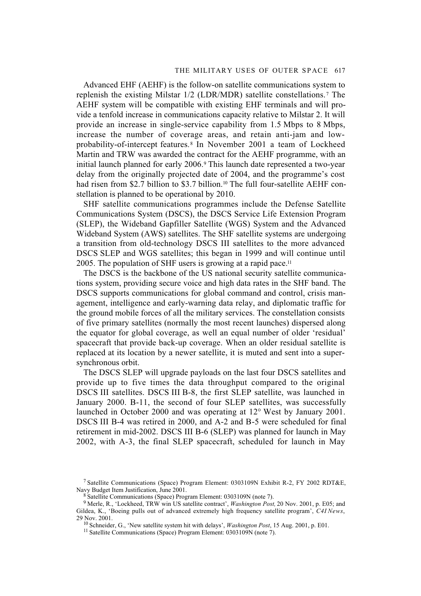Advanced EHF (AEHF) is the follow-on satellite communications system to replenish the existing Milstar 1/2 (LDR/MDR) satellite constellations.7 The AEHF system will be compatible with existing EHF terminals and will provide a tenfold increase in communications capacity relative to Milstar 2. It will provide an increase in single-service capability from 1.5 Mbps to 8 Mbps, increase the number of coverage areas, and retain anti-jam and lowprobability-of-intercept features. 8 In November 2001 a team of Lockheed Martin and TRW was awarded the contract for the AEHF programme, with an initial launch planned for early 2006.9 This launch date represented a two-year delay from the originally projected date of 2004, and the programme's cost had risen from \$2.7 billion to \$3.7 billion.<sup>10</sup> The full four-satellite AEHF constellation is planned to be operational by 2010.

SHF satellite communications programmes include the Defense Satellite Communications System (DSCS), the DSCS Service Life Extension Program (SLEP), the Wideband Gapfiller Satellite (WGS) System and the Advanced Wideband System (AWS) satellites. The SHF satellite systems are undergoing a transition from old-technology DSCS III satellites to the more advanced DSCS SLEP and WGS satellites; this began in 1999 and will continue until 2005. The population of SHF users is growing at a rapid pace.11

The DSCS is the backbone of the US national security satellite communications system, providing secure voice and high data rates in the SHF band. The DSCS supports communications for global command and control, crisis management, intelligence and early-warning data relay, and diplomatic traffic for the ground mobile forces of all the military services. The constellation consists of five primary satellites (normally the most recent launches) dispersed along the equator for global coverage, as well an equal number of older 'residual' spacecraft that provide back-up coverage. When an older residual satellite is replaced at its location by a newer satellite, it is muted and sent into a supersynchronous orbit.

The DSCS SLEP will upgrade payloads on the last four DSCS satellites and provide up to five times the data throughput compared to the original DSCS III satellites. DSCS III B-8, the first SLEP satellite, was launched in January 2000. B-11, the second of four SLEP satellites, was successfully launched in October 2000 and was operating at 12° West by January 2001. DSCS III B-4 was retired in 2000, and A-2 and B-5 were scheduled for final retirement in mid-2002. DSCS III B-6 (SLEP) was planned for launch in May 2002, with A-3, the final SLEP spacecraft, scheduled for launch in May

<sup>7</sup> Satellite Communications (Space) Program Element: 0303109N Exhibit R-2, FY 2002 RDT&E, Navy Budget Item Justification, June 2001.

<sup>8</sup> Satellite Communications (Space) Program Element: 0303109N (note 7).

<sup>9</sup> Merle, R., 'Lockheed, TRW win US satellite contract', *Washington Post,* 20 Nov. 2001, p. E05; and Gildea, K., 'Boeing pulls out of advanced extremely high frequency satellite program', *C4I News*, 29 Nov. 2001.

<sup>10</sup> Schneider, G., 'New satellite system hit with delays', *Washington Post*, 15 Aug. 2001, p. E01.

<sup>11</sup> Satellite Communications (Space) Program Element: 0303109N (note 7).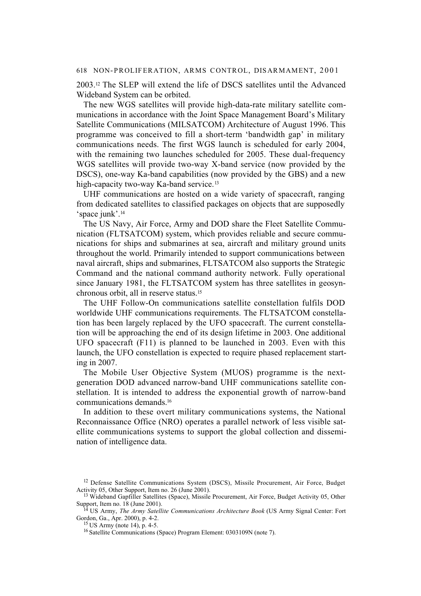2003.12 The SLEP will extend the life of DSCS satellites until the Advanced Wideband System can be orbited.

The new WGS satellites will provide high-data-rate military satellite communications in accordance with the Joint Space Management Board's Military Satellite Communications (MILSATCOM) Architecture of August 1996. This programme was conceived to fill a short-term 'bandwidth gap' in military communications needs. The first WGS launch is scheduled for early 2004, with the remaining two launches scheduled for 2005. These dual-frequency WGS satellites will provide two-way X-band service (now provided by the DSCS), one-way Ka-band capabilities (now provided by the GBS) and a new high-capacity two-way Ka-band service.<sup>13</sup>

UHF communications are hosted on a wide variety of spacecraft, ranging from dedicated satellites to classified packages on objects that are supposedly 'space junk'.14

The US Navy, Air Force, Army and DOD share the Fleet Satellite Communication (FLTSATCOM) system, which provides reliable and secure communications for ships and submarines at sea, aircraft and military ground units throughout the world. Primarily intended to support communications between naval aircraft, ships and submarines, FLTSATCOM also supports the Strategic Command and the national command authority network. Fully operational since January 1981, the FLTSATCOM system has three satellites in geosynchronous orbit, all in reserve status.15

The UHF Follow-On communications satellite constellation fulfils DOD worldwide UHF communications requirements. The FLTSATCOM constellation has been largely replaced by the UFO spacecraft. The current constellation will be approaching the end of its design lifetime in 2003. One additional UFO spacecraft (F11) is planned to be launched in 2003. Even with this launch, the UFO constellation is expected to require phased replacement starting in 2007.

The Mobile User Objective System (MUOS) programme is the nextgeneration DOD advanced narrow-band UHF communications satellite constellation. It is intended to address the exponential growth of narrow-band communications demands.16

In addition to these overt military communications systems, the National Reconnaissance Office (NRO) operates a parallel network of less visible satellite communications systems to support the global collection and dissemination of intelligence data.

<sup>&</sup>lt;sup>12</sup> Defense Satellite Communications System (DSCS), Missile Procurement, Air Force, Budget Activity 05, Other Support, Item no. 26 (June 2001).

<sup>&</sup>lt;sup>13</sup> Wideband Gapfiller Satellites (Space), Missile Procurement, Air Force, Budget Activity 05, Other Support, Item no. 18 (June 2001).

<sup>14</sup> US Army, *The Army Satellite Communications Architecture Book* (US Army Signal Center: Fort Gordon, Ga., Apr. 2000), p. 4-2.

<sup>15</sup> US Army (note 14), p. 4-5.

<sup>16</sup> Satellite Communications (Space) Program Element: 0303109N (note 7).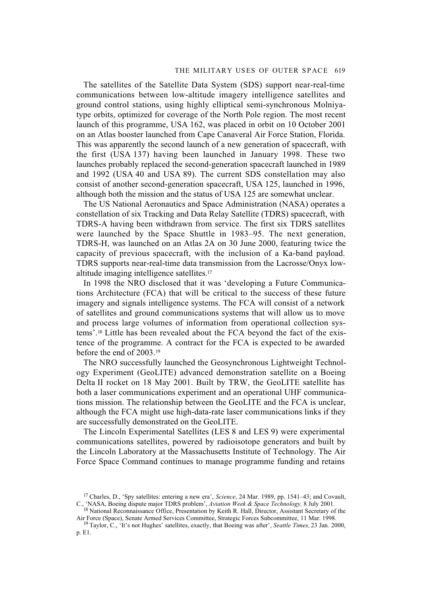### THE MILITARY USES OF OUTER SPACE 619

The satellites of the Satellite Data System (SDS) support near-real-time communications between low-altitude imagery intelligence satellites and ground control stations, using highly elliptical semi-synchronous Molniyatype orbits, optimized for coverage of the North Pole region. The most recent launch of this programme, USA 162, was placed in orbit on 10 October 2001 on an Atlas booster launched from Cape Canaveral Air Force Station, Florida. This was apparently the second launch of a new generation of spacecraft, with the first (USA 137) having been launched in January 1998. These two launches probably replaced the second-generation spacecraft launched in 1989 and 1992 (USA 40 and USA 89). The current SDS constellation may also consist of another second-generation spacecraft, USA 125, launched in 1996, although both the mission and the status of USA 125 are somewhat unclear.

The US National Aeronautics and Space Administration (NASA) operates a constellation of six Tracking and Data Relay Satellite (TDRS) spacecraft, with TDRS-A having been withdrawn from service. The first six TDRS satellites were launched by the Space Shuttle in 1983–95. The next generation, TDRS-H, was launched on an Atlas 2A on 30 June 2000, featuring twice the capacity of previous spacecraft, with the inclusion of a Ka-band payload. TDRS supports near-real-time data transmission from the Lacrosse/Onyx lowaltitude imaging intelligence satellites.17

In 1998 the NRO disclosed that it was 'developing a Future Communications Architecture (FCA) that will be critical to the success of these future imagery and signals intelligence systems. The FCA will consist of a network of satellites and ground communications systems that will allow us to move and process large volumes of information from operational collection systems'.18 Little has been revealed about the FCA beyond the fact of the existence of the programme. A contract for the FCA is expected to be awarded before the end of 2003.19

The NRO successfully launched the Geosynchronous Lightweight Technology Experiment (GeoLITE) advanced demonstration satellite on a Boeing Delta II rocket on 18 May 2001. Built by TRW, the GeoLITE satellite has both a laser communications experiment and an operational UHF communications mission. The relationship between the GeoLITE and the FCA is unclear, although the FCA might use high-data-rate laser communications links if they are successfully demonstrated on the GeoLITE.

The Lincoln Experimental Satellites (LES 8 and LES 9) were experimental communications satellites, powered by radioisotope generators and built by the Lincoln Laboratory at the Massachusetts Institute of Technology. The Air Force Space Command continues to manage programme funding and retains

<sup>17</sup> Charles, D., 'Spy satellites: entering a new era', *Science*, 24 Mar. 1989, pp. 1541–43; and Covault, C., 'NASA, Boeing dispute major TDRS problem', *Aviation Week & Space Technology,* 8 July 2001.

<sup>&</sup>lt;sup>18</sup> National Reconnaissance Office, Presentation by Keith R. Hall, Director, Assistant Secretary of the Air Force (Space), Senate Armed Services Committee, Strategic Forces Subcommittee, 11 Mar. 1998.

<sup>19</sup> Taylor, C., 'It's not Hughes' satellites, exactly, that Boeing was after', *Seattle Times,* 23 Jan. 2000, p. E1.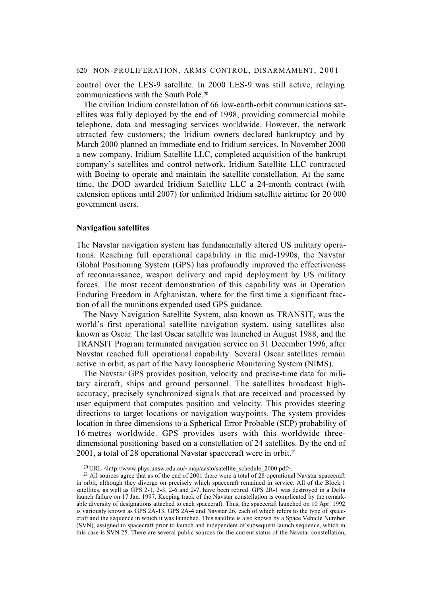control over the LES-9 satellite. In 2000 LES-9 was still active, relaying communications with the South Pole.20

The civilian Iridium constellation of 66 low-earth-orbit communications satellites was fully deployed by the end of 1998, providing commercial mobile telephone, data and messaging services worldwide. However, the network attracted few customers; the Iridium owners declared bankruptcy and by March 2000 planned an immediate end to Iridium services. In November 2000 a new company, Iridium Satellite LLC, completed acquisition of the bankrupt company's satellites and control network. Iridium Satellite LLC contracted with Boeing to operate and maintain the satellite constellation. At the same time, the DOD awarded Iridium Satellite LLC a 24-month contract (with extension options until 2007) for unlimited Iridium satellite airtime for 20 000 government users.

### **Navigation satellites**

The Navstar navigation system has fundamentally altered US military operations. Reaching full operational capability in the mid-1990s, the Navstar Global Positioning System (GPS) has profoundly improved the effectiveness of reconnaissance, weapon delivery and rapid deployment by US military forces. The most recent demonstration of this capability was in Operation Enduring Freedom in Afghanistan, where for the first time a significant fraction of all the munitions expended used GPS guidance.

The Navy Navigation Satellite System, also known as TRANSIT, was the world's first operational satellite navigation system, using satellites also known as Oscar. The last Oscar satellite was launched in August 1988, and the TRANSIT Program terminated navigation service on 31 December 1996, after Navstar reached full operational capability. Several Oscar satellites remain active in orbit, as part of the Navy Ionospheric Monitoring System (NIMS).

The Navstar GPS provides position, velocity and precise-time data for military aircraft, ships and ground personnel. The satellites broadcast highaccuracy, precisely synchronized signals that are received and processed by user equipment that computes position and velocity. This provides steering directions to target locations or navigation waypoints. The system provides location in three dimensions to a Spherical Error Probable (SEP) probability of 16 metres worldwide. GPS provides users with this worldwide threedimensional positioning based on a constellation of 24 satellites. By the end of 2001, a total of 28 operational Navstar spacecraft were in orbit.21

 $^{20}$  URL <http://www.phys.unsw.edu.au/~map/aasto/satellite\_schedule\_2000.pdf>.

<sup>&</sup>lt;sup>21</sup> All sources agree that as of the end of 2001 there were a total of  $2\overline{8}$  operational Navstar spacecraft in orbit, although they diverge on precisely which spacecraft remained in service. All of the Block 1 satellites, as well as GPS 2-1, 2-3, 2-6 and 2-7, have been retired. GPS 2R-1 was destroyed in a Delta launch failure on 17 Jan. 1997. Keeping track of the Navstar constellation is complicated by the remarkable diversity of designations attached to each spacecraft. Thus, the spacecraft launched on 10 Apr. 1992 is variously known as GPS 2A-13, GPS 2A-4 and Navstar 26, each of which refers to the type of spacecraft and the sequence in which it was launched. This satellite is also known by a Space Vehicle Number (SVN), assigned to spacecraft prior to launch and independent of subsequent launch sequence, which in this case is SVN 25. There are several public sources for the current status of the Navstar constellation,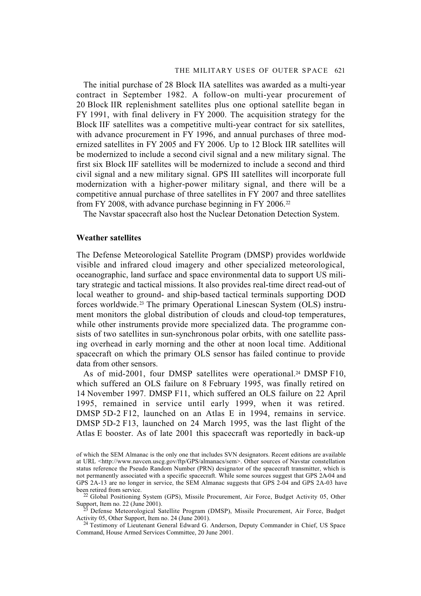The initial purchase of 28 Block IIA satellites was awarded as a multi-year contract in September 1982. A follow-on multi-year procurement of 20 Block IIR replenishment satellites plus one optional satellite began in FY 1991, with final delivery in FY 2000. The acquisition strategy for the Block IIF satellites was a competitive multi-year contract for six satellites, with advance procurement in FY 1996, and annual purchases of three modernized satellites in FY 2005 and FY 2006. Up to 12 Block IIR satellites will be modernized to include a second civil signal and a new military signal. The first six Block IIF satellites will be modernized to include a second and third civil signal and a new military signal. GPS III satellites will incorporate full modernization with a higher-power military signal, and there will be a competitive annual purchase of three satellites in FY 2007 and three satellites from FY 2008, with advance purchase beginning in FY 2006.<sup>22</sup>

The Navstar spacecraft also host the Nuclear Detonation Detection System.

### **Weather satellites**

The Defense Meteorological Satellite Program (DMSP) provides worldwide visible and infrared cloud imagery and other specialized meteorological, oceanographic, land surface and space environmental data to support US military strategic and tactical missions. It also provides real-time direct read-out of local weather to ground- and ship-based tactical terminals supporting DOD forces worldwide.23 The primary Operational Linescan System (OLS) instrument monitors the global distribution of clouds and cloud-top temperatures, while other instruments provide more specialized data. The programme consists of two satellites in sun-synchronous polar orbits, with one satellite passing overhead in early morning and the other at noon local time. Additional spacecraft on which the primary OLS sensor has failed continue to provide data from other sensors.

As of mid-2001, four DMSP satellites were operational.<sup>24</sup> DMSP F10, which suffered an OLS failure on 8 February 1995, was finally retired on 14 November 1997. DMSP F11, which suffered an OLS failure on 22 April 1995, remained in service until early 1999, when it was retired. DMSP 5D-2 F12, launched on an Atlas E in 1994, remains in service. DMSP 5D-2 F13, launched on 24 March 1995, was the last flight of the Atlas E booster. As of late 2001 this spacecraft was reportedly in back-up

of which the SEM Almanac is the only one that includes SVN designators. Recent editions are available at URL <http://www.navcen.uscg.gov/ftp/GPS/almanacs/sem>. Other sources of Navstar constellation status reference the Pseudo Random Number (PRN) designator of the spacecraft transmitter, which is not permanently associated with a specific spacecraft. While some sources suggest that GPS 2A-04 and GPS 2A-13 are no longer in service, the SEM Almanac suggests that GPS 2-04 and GPS 2A-03 have been retired from service.

 $^{22}$  Global Positioning System (GPS), Missile Procurement, Air Force, Budget Activity 05, Other Support, Item no. 22 (June 2001).

<sup>&</sup>lt;sup>23</sup> Defense Meteorological Satellite Program (DMSP), Missile Procurement, Air Force, Budget Activity 05, Other Support, Item no. 24 (June 2001).

<sup>24</sup> Testimony of Lieutenant General Edward G. Anderson, Deputy Commander in Chief, US Space Command, House Armed Services Committee, 20 June 2001.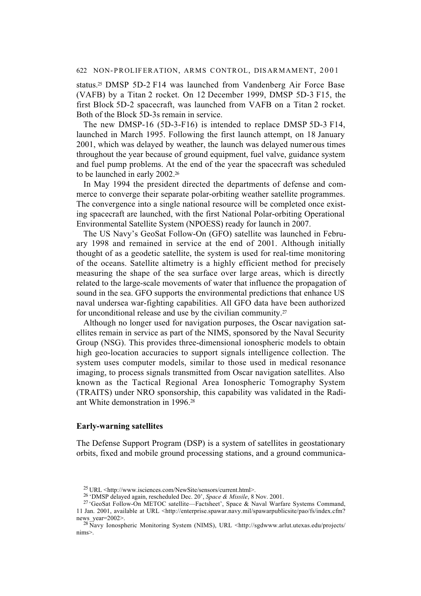status.25 DMSP 5D-2 F14 was launched from Vandenberg Air Force Base (VAFB) by a Titan 2 rocket. On 12 December 1999, DMSP 5D-3 F15, the first Block 5D-2 spacecraft, was launched from VAFB on a Titan 2 rocket. Both of the Block 5D-3s remain in service.

The new DMSP-16 (5D-3-F16) is intended to replace DMSP 5D-3 F14, launched in March 1995. Following the first launch attempt, on 18 January 2001, which was delayed by weather, the launch was delayed numerous times throughout the year because of ground equipment, fuel valve, guidance system and fuel pump problems. At the end of the year the spacecraft was scheduled to be launched in early 2002.<sup>26</sup>

In May 1994 the president directed the departments of defense and commerce to converge their separate polar-orbiting weather satellite programmes. The convergence into a single national resource will be completed once existing spacecraft are launched, with the first National Polar-orbiting Operational Environmental Satellite System (NPOESS) ready for launch in 2007.

The US Navy's GeoSat Follow-On (GFO) satellite was launched in February 1998 and remained in service at the end of 2001. Although initially thought of as a geodetic satellite, the system is used for real-time monitoring of the oceans. Satellite altimetry is a highly efficient method for precisely measuring the shape of the sea surface over large areas, which is directly related to the large-scale movements of water that influence the propagation of sound in the sea. GFO supports the environmental predictions that enhance US naval undersea war-fighting capabilities. All GFO data have been authorized for unconditional release and use by the civilian community.<sup>27</sup>

Although no longer used for navigation purposes, the Oscar navigation satellites remain in service as part of the NIMS, sponsored by the Naval Security Group (NSG). This provides three-dimensional ionospheric models to obtain high geo-location accuracies to support signals intelligence collection. The system uses computer models, similar to those used in medical resonance imaging, to process signals transmitted from Oscar navigation satellites. Also known as the Tactical Regional Area Ionospheric Tomography System (TRAITS) under NRO sponsorship, this capability was validated in the Radiant White demonstration in 1996.28

### **Early-warning satellites**

The Defense Support Program (DSP) is a system of satellites in geostationary orbits, fixed and mobile ground processing stations, and a ground communica-

<sup>25</sup> URL <http://www.isciences.com/NewSite/sensors/current.html>.

<sup>26 &#</sup>x27;DMSP delayed again, rescheduled Dec. 20', *Space & Missile*, 8 Nov. 2001.

<sup>27 &#</sup>x27;GeoSat Follow-On METOC satellite—Factsheet', Space & Naval Warfare Systems Command, 11 Jan. 2001, available at URL <http://enterprise.spawar.navy.mil/spawarpublicsite/pao/fs/index.cfm? news\_vear=2002>.

<sup>&</sup>lt;sup>28</sup> Navy Ionospheric Monitoring System (NIMS), URL <http://sgdwww.arlut.utexas.edu/projects/ nims>.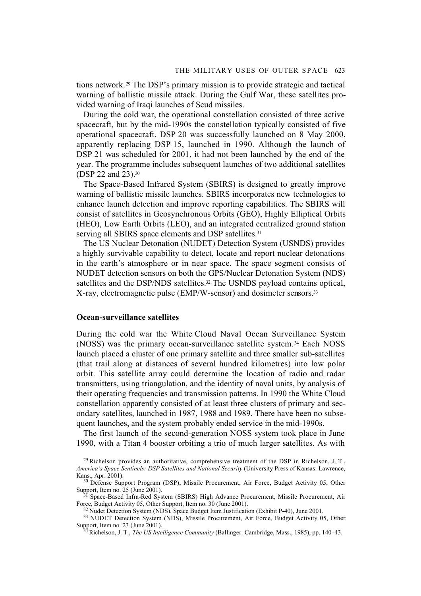tions network. 29 The DSP's primary mission is to provide strategic and tactical warning of ballistic missile attack. During the Gulf War, these satellites provided warning of Iraqi launches of Scud missiles.

During the cold war, the operational constellation consisted of three active spacecraft, but by the mid-1990s the constellation typically consisted of five operational spacecraft. DSP 20 was successfully launched on 8 May 2000, apparently replacing DSP 15, launched in 1990. Although the launch of DSP 21 was scheduled for 2001, it had not been launched by the end of the year. The programme includes subsequent launches of two additional satellites (DSP 22 and 23).30

The Space-Based Infrared System (SBIRS) is designed to greatly improve warning of ballistic missile launches. SBIRS incorporates new technologies to enhance launch detection and improve reporting capabilities. The SBIRS will consist of satellites in Geosynchronous Orbits (GEO), Highly Elliptical Orbits (HEO), Low Earth Orbits (LEO), and an integrated centralized ground station serving all SBIRS space elements and DSP satellites.<sup>31</sup>

The US Nuclear Detonation (NUDET) Detection System (USNDS) provides a highly survivable capability to detect, locate and report nuclear detonations in the earth's atmosphere or in near space. The space segment consists of NUDET detection sensors on both the GPS/Nuclear Detonation System (NDS) satellites and the DSP/NDS satellites.<sup>32</sup> The USNDS payload contains optical, X-ray, electromagnetic pulse (EMP/W-sensor) and dosimeter sensors.33

### **Ocean-surveillance satellites**

During the cold war the White Cloud Naval Ocean Surveillance System (NOSS) was the primary ocean-surveillance satellite system. 34 Each NOSS launch placed a cluster of one primary satellite and three smaller sub-satellites (that trail along at distances of several hundred kilometres) into low polar orbit. This satellite array could determine the location of radio and radar transmitters, using triangulation, and the identity of naval units, by analysis of their operating frequencies and transmission patterns. In 1990 the White Cloud constellation apparently consisted of at least three clusters of primary and secondary satellites, launched in 1987, 1988 and 1989. There have been no subsequent launches, and the system probably ended service in the mid-1990s.

The first launch of the second-generation NOSS system took place in June 1990, with a Titan 4 booster orbiting a trio of much larger satellites. As with

 $^{29}$  Richelson provides an authoritative, comprehensive treatment of the DSP in Richelson, J. T., *America's Space Sentinels: DSP Satellites and National Security* (University Press of Kansas: Lawrence, Kans., Apr. 2001).

<sup>&</sup>lt;sup>30</sup> Defense Support Program (DSP), Missile Procurement, Air Force, Budget Activity 05, Other Support, Item no. 25 (June 2001).

<sup>31</sup> Space-Based Infra-Red System (SBIRS) High Advance Procurement, Missile Procurement, Air Force, Budget Activity 05, Other Support, Item no. 30 (June 2001).

<sup>&</sup>lt;sup>32</sup> Nudet Detection System (NDS), Space Budget Item Justification (Exhibit P-40), June 2001.

<sup>&</sup>lt;sup>33</sup> NUDET Detection System (NDS), Missile Procurement, Air Force, Budget Activity 05, Other Support, Item no. 23 (June 2001).

<sup>34</sup> Richelson, J. T., *The US Intelligence Community* (Ballinger: Cambridge, Mass., 1985), pp. 140–43.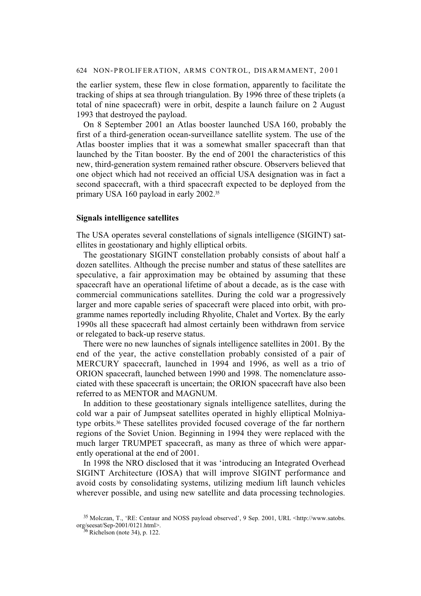the earlier system, these flew in close formation, apparently to facilitate the tracking of ships at sea through triangulation. By 1996 three of these triplets (a total of nine spacecraft) were in orbit, despite a launch failure on 2 August 1993 that destroyed the payload.

On 8 September 2001 an Atlas booster launched USA 160, probably the first of a third-generation ocean-surveillance satellite system. The use of the Atlas booster implies that it was a somewhat smaller spacecraft than that launched by the Titan booster. By the end of 2001 the characteristics of this new, third-generation system remained rather obscure. Observers believed that one object which had not received an official USA designation was in fact a second spacecraft, with a third spacecraft expected to be deployed from the primary USA 160 payload in early 2002.35

#### **Signals intelligence satellites**

The USA operates several constellations of signals intelligence (SIGINT) satellites in geostationary and highly elliptical orbits.

The geostationary SIGINT constellation probably consists of about half a dozen satellites. Although the precise number and status of these satellites are speculative, a fair approximation may be obtained by assuming that these spacecraft have an operational lifetime of about a decade, as is the case with commercial communications satellites. During the cold war a progressively larger and more capable series of spacecraft were placed into orbit, with programme names reportedly including Rhyolite, Chalet and Vortex. By the early 1990s all these spacecraft had almost certainly been withdrawn from service or relegated to back-up reserve status.

There were no new launches of signals intelligence satellites in 2001. By the end of the year, the active constellation probably consisted of a pair of MERCURY spacecraft, launched in 1994 and 1996, as well as a trio of ORION spacecraft, launched between 1990 and 1998. The nomenclature associated with these spacecraft is uncertain; the ORION spacecraft have also been referred to as MENTOR and MAGNUM.

In addition to these geostationary signals intelligence satellites, during the cold war a pair of Jumpseat satellites operated in highly elliptical Molniyatype orbits.36 These satellites provided focused coverage of the far northern regions of the Soviet Union. Beginning in 1994 they were replaced with the much larger TRUMPET spacecraft, as many as three of which were apparently operational at the end of 2001.

In 1998 the NRO disclosed that it was 'introducing an Integrated Overhead SIGINT Architecture (IOSA) that will improve SIGINT performance and avoid costs by consolidating systems, utilizing medium lift launch vehicles wherever possible, and using new satellite and data processing technologies.

<sup>35</sup> Molczan, T., 'RE: Centaur and NOSS payload observed', 9 Sep. 2001, URL <http://www.satobs. org/seesat/Sep-2001/0121.html>.

 $36$  Richelson (note 34), p. 122.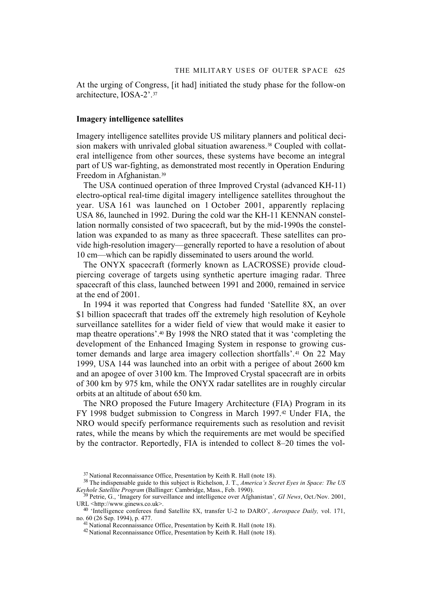At the urging of Congress, [it had] initiated the study phase for the follow-on architecture, IOSA-2'.37

#### **Imagery intelligence satellites**

Imagery intelligence satellites provide US military planners and political decision makers with unrivaled global situation awareness.<sup>38</sup> Coupled with collateral intelligence from other sources, these systems have become an integral part of US war-fighting, as demonstrated most recently in Operation Enduring Freedom in Afghanistan.39

The USA continued operation of three Improved Crystal (advanced KH-11) electro-optical real-time digital imagery intelligence satellites throughout the year. USA 161 was launched on 1 October 2001, apparently replacing USA 86, launched in 1992. During the cold war the KH-11 KENNAN constellation normally consisted of two spacecraft, but by the mid-1990s the constellation was expanded to as many as three spacecraft. These satellites can provide high-resolution imagery—generally reported to have a resolution of about 10 cm—which can be rapidly disseminated to users around the world.

The ONYX spacecraft (formerly known as LACROSSE) provide cloudpiercing coverage of targets using synthetic aperture imaging radar. Three spacecraft of this class, launched between 1991 and 2000, remained in service at the end of 2001.

In 1994 it was reported that Congress had funded 'Satellite 8X, an over \$1 billion spacecraft that trades off the extremely high resolution of Keyhole surveillance satellites for a wider field of view that would make it easier to map theatre operations'.40 By 1998 the NRO stated that it was 'completing the development of the Enhanced Imaging System in response to growing customer demands and large area imagery collection shortfalls'.41 On 22 May 1999, USA 144 was launched into an orbit with a perigee of about 2600 km and an apogee of over 3100 km. The Improved Crystal spacecraft are in orbits of 300 km by 975 km, while the ONYX radar satellites are in roughly circular orbits at an altitude of about 650 km.

The NRO proposed the Future Imagery Architecture (FIA) Program in its FY 1998 budget submission to Congress in March 1997.<sup>42</sup> Under FIA, the NRO would specify performance requirements such as resolution and revisit rates, while the means by which the requirements are met would be specified by the contractor. Reportedly, FIA is intended to collect 8–20 times the vol-

<sup>37</sup> National Reconnaissance Office, Presentation by Keith R. Hall (note 18).

<sup>38</sup> The indispensable guide to this subject is Richelson, J. T., *America's Secret Eyes in Space: The US Keyhole Satellite Program* (Ballinger: Cambridge, Mass., Feb. 1990).

<sup>39</sup> Petrie, G., 'Imagery for surveillance and intelligence over Afghanistan', *GI News*, Oct./Nov. 2001, URL <http://www.ginews.co.uk>.

<sup>40 &#</sup>x27;Intelligence conferees fund Satellite 8X, transfer U-2 to DARO', *Aerospace Daily,* vol. 171, no. 60 (26 Sep. 1994), p. 477.

<sup>41</sup> National Reconnaissance Office, Presentation by Keith R. Hall (note 18).

<sup>42</sup> National Reconnaissance Office, Presentation by Keith R. Hall (note 18).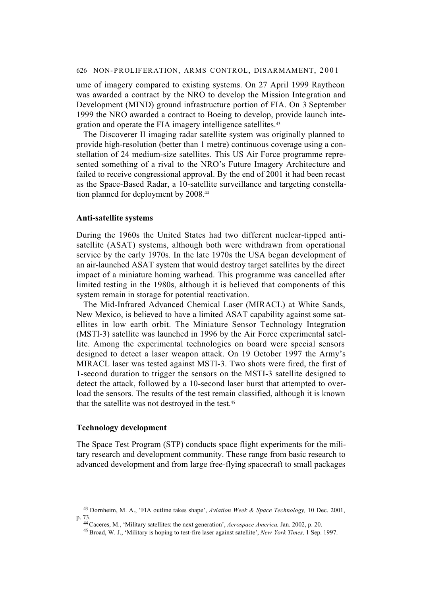ume of imagery compared to existing systems. On 27 April 1999 Raytheon was awarded a contract by the NRO to develop the Mission Integration and Development (MIND) ground infrastructure portion of FIA. On 3 September 1999 the NRO awarded a contract to Boeing to develop, provide launch integration and operate the FIA imagery intelligence satellites.43

The Discoverer II imaging radar satellite system was originally planned to provide high-resolution (better than 1 metre) continuous coverage using a constellation of 24 medium-size satellites. This US Air Force programme represented something of a rival to the NRO's Future Imagery Architecture and failed to receive congressional approval. By the end of 2001 it had been recast as the Space-Based Radar, a 10-satellite surveillance and targeting constellation planned for deployment by 2008.44

#### **Anti-satellite systems**

During the 1960s the United States had two different nuclear-tipped antisatellite (ASAT) systems, although both were withdrawn from operational service by the early 1970s. In the late 1970s the USA began development of an air-launched ASAT system that would destroy target satellites by the direct impact of a miniature homing warhead. This programme was cancelled after limited testing in the 1980s, although it is believed that components of this system remain in storage for potential reactivation.

The Mid-Infrared Advanced Chemical Laser (MIRACL) at White Sands, New Mexico, is believed to have a limited ASAT capability against some satellites in low earth orbit. The Miniature Sensor Technology Integration (MSTI-3) satellite was launched in 1996 by the Air Force experimental satellite. Among the experimental technologies on board were special sensors designed to detect a laser weapon attack. On 19 October 1997 the Army's MIRACL laser was tested against MSTI-3. Two shots were fired, the first of 1-second duration to trigger the sensors on the MSTI-3 satellite designed to detect the attack, followed by a 10-second laser burst that attempted to overload the sensors. The results of the test remain classified, although it is known that the satellite was not destroyed in the test.45

## **Technology development**

The Space Test Program (STP) conducts space flight experiments for the military research and development community. These range from basic research to advanced development and from large free-flying spacecraft to small packages

<sup>43</sup> Dornheim, M. A., 'FIA outline takes shape', *Aviation Week & Space Technology,* 10 Dec. 2001, p. 73.

<sup>44</sup> Caceres, M., 'Military satellites: the next generation', *Aerospace America,* Jan. 2002, p. 20.

<sup>45</sup> Broad, W. J., 'Military is hoping to test-fire laser against satellite', *New York Times,* 1 Sep. 1997.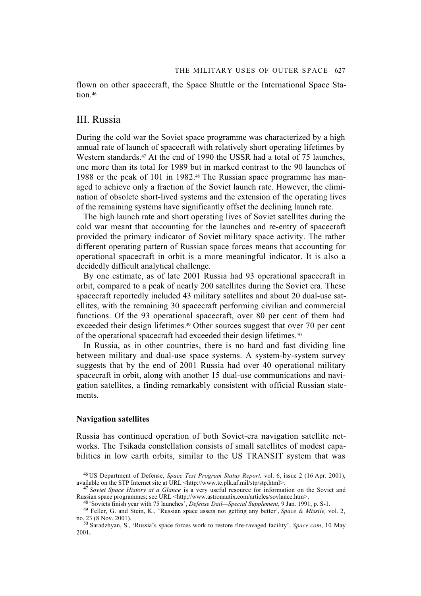flown on other spacecraft, the Space Shuttle or the International Space Station.<sup>46</sup>

## III. Russia

During the cold war the Soviet space programme was characterized by a high annual rate of launch of spacecraft with relatively short operating lifetimes by Western standards.<sup>47</sup> At the end of 1990 the USSR had a total of 75 launches. one more than its total for 1989 but in marked contrast to the 90 launches of 1988 or the peak of 101 in 1982.48 The Russian space programme has managed to achieve only a fraction of the Soviet launch rate. However, the elimination of obsolete short-lived systems and the extension of the operating lives of the remaining systems have significantly offset the declining launch rate.

The high launch rate and short operating lives of Soviet satellites during the cold war meant that accounting for the launches and re-entry of spacecraft provided the primary indicator of Soviet military space activity. The rather different operating pattern of Russian space forces means that accounting for operational spacecraft in orbit is a more meaningful indicator. It is also a decidedly difficult analytical challenge.

By one estimate, as of late 2001 Russia had 93 operational spacecraft in orbit, compared to a peak of nearly 200 satellites during the Soviet era. These spacecraft reportedly included 43 military satellites and about 20 dual-use satellites, with the remaining 30 spacecraft performing civilian and commercial functions. Of the 93 operational spacecraft, over 80 per cent of them had exceeded their design lifetimes.<sup>49</sup> Other sources suggest that over 70 per cent of the operational spacecraft had exceeded their design lifetimes.<sup>50</sup>

In Russia, as in other countries, there is no hard and fast dividing line between military and dual-use space systems. A system-by-system survey suggests that by the end of 2001 Russia had over 40 operational military spacecraft in orbit, along with another 15 dual-use communications and navigation satellites, a finding remarkably consistent with official Russian statements.

### **Navigation satellites**

Russia has continued operation of both Soviet-era navigation satellite networks. The Tsikada constellation consists of small satellites of modest capabilities in low earth orbits, similar to the US TRANSIT system that was

<sup>46</sup> US Department of Defense, *Space Test Program Status Report,* vol. 6, issue 2 (16 Apr. 2001), available on the STP Internet site at URL <http://www.te.plk.af.mil/stp/stp.html>.

<sup>47</sup> *Soviet Space History at a Glance* is a very useful resource for information on the Soviet and Russian space programmes; see URL <http://www.astronautix.com/articles/sovlance.htm>.

<sup>48 &#</sup>x27;Soviets finish year with 75 launches', *Defense Dail—Special Supplement*, 9 Jan. 1991, p. S-1.

<sup>49</sup> Feller, G. and Stein, K., 'Russian space assets not getting any better', *Space & Missile,* vol. 2, no. 23 (8 Nov. 2001).

<sup>50</sup> Saradzhyan, S., 'Russia's space forces work to restore fire-ravaged facility', *Space.com*, 10 May 2001**.**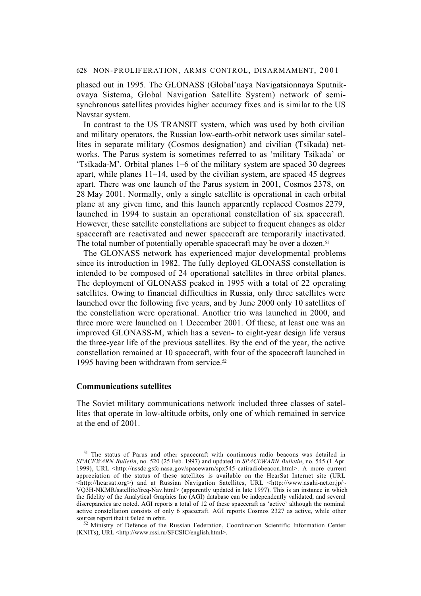phased out in 1995. The GLONASS (Global'naya Navigatsionnaya Sputnikovaya Sistema, Global Navigation Satellite System) network of semisynchronous satellites provides higher accuracy fixes and is similar to the US Navstar system.

In contrast to the US TRANSIT system, which was used by both civilian and military operators, the Russian low-earth-orbit network uses similar satellites in separate military (Cosmos designation) and civilian (Tsikada) networks. The Parus system is sometimes referred to as 'military Tsikada' or 'Tsikada-M'. Orbital planes 1–6 of the military system are spaced 30 degrees apart, while planes 11–14, used by the civilian system, are spaced 45 degrees apart. There was one launch of the Parus system in 2001, Cosmos 2378, on 28 May 2001. Normally, only a single satellite is operational in each orbital plane at any given time, and this launch apparently replaced Cosmos 2279, launched in 1994 to sustain an operational constellation of six spacecraft. However, these satellite constellations are subject to frequent changes as older spacecraft are reactivated and newer spacecraft are temporarily inactivated. The total number of potentially operable spacecraft may be over a dozen.<sup>51</sup>

The GLONASS network has experienced major developmental problems since its introduction in 1982. The fully deployed GLONASS constellation is intended to be composed of 24 operational satellites in three orbital planes. The deployment of GLONASS peaked in 1995 with a total of 22 operating satellites. Owing to financial difficulties in Russia, only three satellites were launched over the following five years, and by June 2000 only 10 satellites of the constellation were operational. Another trio was launched in 2000, and three more were launched on 1 December 2001. Of these, at least one was an improved GLONASS-M, which has a seven- to eight-year design life versus the three-year life of the previous satellites. By the end of the year, the active constellation remained at 10 spacecraft, with four of the spacecraft launched in 1995 having been withdrawn from service.<sup>52</sup>

### **Communications satellites**

The Soviet military communications network included three classes of satellites that operate in low-altitude orbits, only one of which remained in service at the end of 2001.

<sup>51</sup> The status of Parus and other spacecraft with continuous radio beacons was detailed in *SPACEWARN Bulletin*, no. 520 (25 Feb. 1997) and updated in *SPACEWARN Bulletin*, no. 545 (1 Apr. 1999), URL <http://nssdc.gsfc.nasa.gov/spacewarn/spx545-catiradiobeacon.html>. A more current appreciation of the status of these satellites is available on the HearSat Internet site (URL  $\langle$ http://hearsat.org>) and at Russian Navigation Satellites, URL  $\langle$ http://www.asahi-net.or.jp/~ VQ3H-NKMR/satellite/freq-Nav.html> (apparently updated in late 1997). This is an instance in which the fidelity of the Analytical Graphics Inc (AGI) database can be independently validated, and several discrepancies are noted. AGI reports a total of 12 of these spacecraft as 'active' although the nominal active constellation consists of only 6 spacecraft. AGI reports Cosmos 2327 as active, while other sources report that it failed in orbit.

<sup>52</sup> Ministry of Defence of the Russian Federation, Coordination Scientific Information Center (KNITs), URL <http://www.rssi.ru/SFCSIC/english.html>.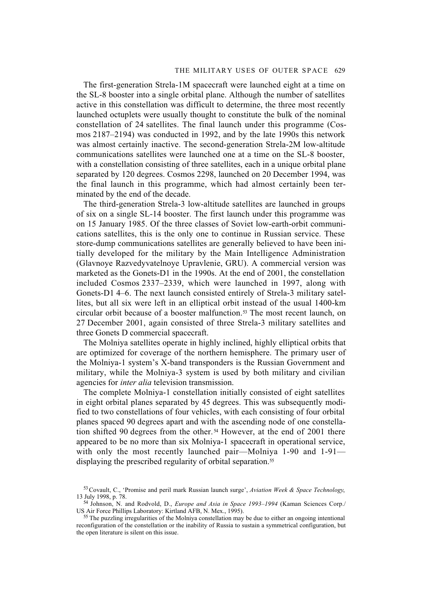The first-generation Strela-1M spacecraft were launched eight at a time on the SL-8 booster into a single orbital plane. Although the number of satellites active in this constellation was difficult to determine, the three most recently launched octuplets were usually thought to constitute the bulk of the nominal constellation of 24 satellites. The final launch under this programme (Cosmos 2187–2194) was conducted in 1992, and by the late 1990s this network was almost certainly inactive. The second-generation Strela-2M low-altitude communications satellites were launched one at a time on the SL-8 booster, with a constellation consisting of three satellites, each in a unique orbital plane separated by 120 degrees. Cosmos 2298, launched on 20 December 1994, was the final launch in this programme, which had almost certainly been terminated by the end of the decade.

The third-generation Strela-3 low-altitude satellites are launched in groups of six on a single SL-14 booster. The first launch under this programme was on 15 January 1985. Of the three classes of Soviet low-earth-orbit communications satellites, this is the only one to continue in Russian service. These store-dump communications satellites are generally believed to have been initially developed for the military by the Main Intelligence Administration (Glavnoye Razvedyvatelnoye Upravlenie, GRU). A commercial version was marketed as the Gonets-D1 in the 1990s. At the end of 2001, the constellation included Cosmos 2337–2339, which were launched in 1997, along with Gonets-D1 4–6. The next launch consisted entirely of Strela-3 military satellites, but all six were left in an elliptical orbit instead of the usual 1400-km circular orbit because of a booster malfunction.53 The most recent launch, on 27 December 2001, again consisted of three Strela-3 military satellites and three Gonets D commercial spacecraft.

The Molniya satellites operate in highly inclined, highly elliptical orbits that are optimized for coverage of the northern hemisphere. The primary user of the Molniya-1 system's X-band transponders is the Russian Government and military, while the Molniya-3 system is used by both military and civilian agencies for *inter alia* television transmission.

The complete Molniya-1 constellation initially consisted of eight satellites in eight orbital planes separated by 45 degrees. This was subsequently modified to two constellations of four vehicles, with each consisting of four orbital planes spaced 90 degrees apart and with the ascending node of one constellation shifted 90 degrees from the other. 54 However, at the end of 2001 there appeared to be no more than six Molniya-1 spacecraft in operational service, with only the most recently launched pair—Molniya 1-90 and 1-91 displaying the prescribed regularity of orbital separation.<sup>55</sup>

<sup>53</sup> Covault, C., 'Promise and peril mark Russian launch surge', *Aviation Week & Space Technology*, 13 July 1998, p. 78.

<sup>54</sup> Johnson, N. and Rodvold, D., *Europe and Asia in Space 1993–1994* (Kaman Sciences Corp./ US Air Force Phillips Laboratory: Kirtland AFB, N. Mex., 1995).

<sup>&</sup>lt;sup>55</sup> The puzzling irregularities of the Molniya constellation may be due to either an ongoing intentional reconfiguration of the constellation or the inability of Russia to sustain a symmetrical configuration, but the open literature is silent on this issue.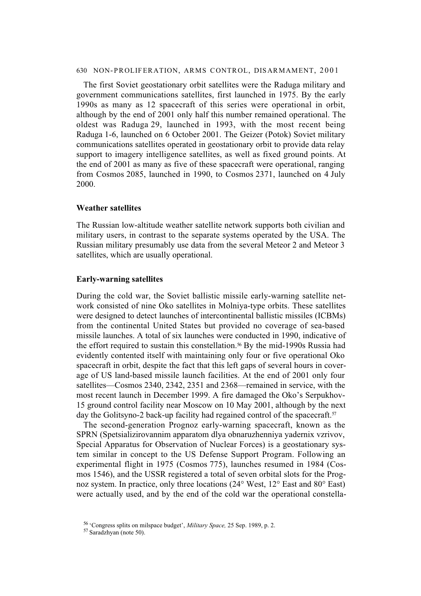The first Soviet geostationary orbit satellites were the Raduga military and government communications satellites, first launched in 1975. By the early 1990s as many as 12 spacecraft of this series were operational in orbit, although by the end of 2001 only half this number remained operational. The oldest was Raduga 29, launched in 1993, with the most recent being Raduga 1-6, launched on 6 October 2001. The Geizer (Potok) Soviet military communications satellites operated in geostationary orbit to provide data relay support to imagery intelligence satellites, as well as fixed ground points. At the end of 2001 as many as five of these spacecraft were operational, ranging from Cosmos 2085, launched in 1990, to Cosmos 2371, launched on 4 July 2000.

#### **Weather satellites**

The Russian low-altitude weather satellite network supports both civilian and military users, in contrast to the separate systems operated by the USA. The Russian military presumably use data from the several Meteor 2 and Meteor 3 satellites, which are usually operational.

#### **Early-warning satellites**

During the cold war, the Soviet ballistic missile early-warning satellite network consisted of nine Oko satellites in Molniya-type orbits. These satellites were designed to detect launches of intercontinental ballistic missiles (ICBMs) from the continental United States but provided no coverage of sea-based missile launches. A total of six launches were conducted in 1990, indicative of the effort required to sustain this constellation.<sup>56</sup> By the mid-1990s Russia had evidently contented itself with maintaining only four or five operational Oko spacecraft in orbit, despite the fact that this left gaps of several hours in coverage of US land-based missile launch facilities. At the end of 2001 only four satellites—Cosmos 2340, 2342, 2351 and 2368—remained in service, with the most recent launch in December 1999. A fire damaged the Oko's Serpukhov-15 ground control facility near Moscow on 10 May 2001, although by the next day the Golitsyno-2 back-up facility had regained control of the spacecraft.<sup>57</sup>

The second-generation Prognoz early-warning spacecraft, known as the SPRN (Spetsializirovannim apparatom dlya obnaruzhenniya yadernix vzrivov, Special Apparatus for Observation of Nuclear Forces) is a geostationary system similar in concept to the US Defense Support Program. Following an experimental flight in 1975 (Cosmos 775), launches resumed in 1984 (Cosmos 1546), and the USSR registered a total of seven orbital slots for the Prognoz system. In practice, only three locations (24° West, 12° East and 80° East) were actually used, and by the end of the cold war the operational constella-

<sup>56 &#</sup>x27;Congress splits on milspace budget', *Military Space,* 25 Sep. 1989, p. 2.

<sup>57</sup> Saradzhyan (note 50).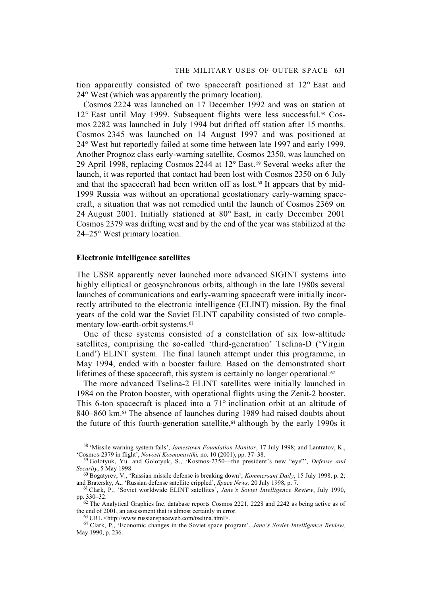tion apparently consisted of two spacecraft positioned at 12° East and 24° West (which was apparently the primary location).

Cosmos 2224 was launched on 17 December 1992 and was on station at  $12^{\circ}$  East until May 1999. Subsequent flights were less successful.<sup>58</sup> Cosmos 2282 was launched in July 1994 but drifted off station after 15 months. Cosmos 2345 was launched on 14 August 1997 and was positioned at 24° West but reportedly failed at some time between late 1997 and early 1999. Another Prognoz class early-warning satellite, Cosmos 2350, was launched on 29 April 1998, replacing Cosmos 2244 at 12° East. 59 Several weeks after the launch, it was reported that contact had been lost with Cosmos 2350 on 6 July and that the spacecraft had been written off as lost.<sup> $\omega$ </sup> It appears that by mid-1999 Russia was without an operational geostationary early-warning spacecraft, a situation that was not remedied until the launch of Cosmos 2369 on 24 August 2001. Initially stationed at 80° East, in early December 2001 Cosmos 2379 was drifting west and by the end of the year was stabilized at the 24–25° West primary location.

#### **Electronic intelligence satellites**

The USSR apparently never launched more advanced SIGINT systems into highly elliptical or geosynchronous orbits, although in the late 1980s several launches of communications and early-warning spacecraft were initially incorrectly attributed to the electronic intelligence (ELINT) mission. By the final years of the cold war the Soviet ELINT capability consisted of two complementary low-earth-orbit systems.<sup>61</sup>

One of these systems consisted of a constellation of six low-altitude satellites, comprising the so-called 'third-generation' Tselina-D ('Virgin Land') ELINT system. The final launch attempt under this programme, in May 1994, ended with a booster failure. Based on the demonstrated short lifetimes of these spacecraft, this system is certainly no longer operational.<sup> $\varnothing$ </sup>

The more advanced Tselina-2 ELINT satellites were initially launched in 1984 on the Proton booster, with operational flights using the Zenit-2 booster. This 6-ton spacecraft is placed into a 71° inclination orbit at an altitude of 840–860 km.<sup>63</sup> The absence of launches during 1989 had raised doubts about the future of this fourth-generation satellite, $64$  although by the early 1990s it

<sup>58 &#</sup>x27;Missile warning system fails', *Jamestown Foundation Monitor*, 17 July 1998; and Lantratov, K., 'Cosmos-2379 in flight', *Novosti Kosmonavtiki,* no. 10 (2001), pp. 37–38.

<sup>59</sup> Golotyuk, Yu. and Golotyuk, S., 'Kosmos-2350—the president's new "eye"', *Defense and Security*, 5 May 1998.

<sup>60</sup> Bogatyrev, V., 'Russian missile defense is breaking down', *Kommersant Daily*, 15 July 1998, p. 2; and Bratersky, A., 'Russian defense satellite crippled', *Space News,* 20 July 1998, p. 7.

<sup>61</sup> Clark, P., 'Soviet worldwide ELINT satellites', *Jane's Soviet Intelligence Review*, July 1990, pp. 330–32.

<sup>62</sup> The Analytical Graphics Inc. database reports Cosmos 2221, 2228 and 2242 as being active as of the end of 2001, an assessment that is almost certainly in error.

<sup>63</sup> URL <http://www.russianspaceweb.com/tselina.html>.

<sup>64</sup> Clark, P., 'Economic changes in the Soviet space program', *Jane's Soviet Intelligence Review*, May 1990, p. 236.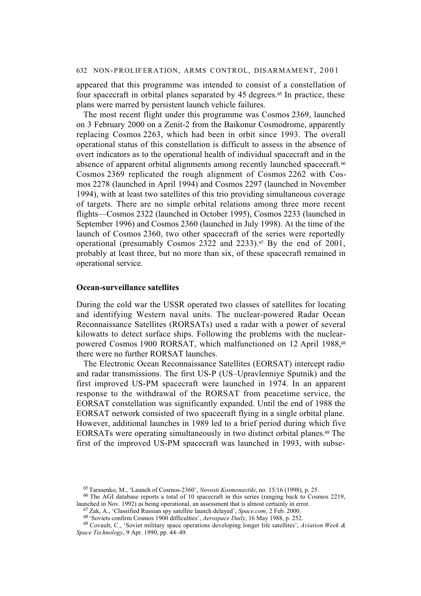appeared that this programme was intended to consist of a constellation of four spacecraft in orbital planes separated by 45 degrees. $65$  In practice, these plans were marred by persistent launch vehicle failures.

The most recent flight under this programme was Cosmos 2369, launched on 3 February 2000 on a Zenit-2 from the Baikonur Cosmodrome, apparently replacing Cosmos 2263, which had been in orbit since 1993. The overall operational status of this constellation is difficult to assess in the absence of overt indicators as to the operational health of individual spacecraft and in the absence of apparent orbital alignments among recently launched spacecraft.<sup>66</sup> Cosmos 2369 replicated the rough alignment of Cosmos 2262 with Cosmos 2278 (launched in April 1994) and Cosmos 2297 (launched in November 1994), with at least two satellites of this trio providing simultaneous coverage of targets. There are no simple orbital relations among three more recent flights—Cosmos 2322 (launched in October 1995), Cosmos 2233 (launched in September 1996) and Cosmos 2360 (launched in July 1998). At the time of the launch of Cosmos 2360, two other spacecraft of the series were reportedly operational (presumably Cosmos 2322 and 2233).<sup> $\sigma$ </sup> By the end of 2001, probably at least three, but no more than six, of these spacecraft remained in operational service.

#### **Ocean-surveillance satellites**

During the cold war the USSR operated two classes of satellites for locating and identifying Western naval units. The nuclear-powered Radar Ocean Reconnaissance Satellites (RORSATs) used a radar with a power of several kilowatts to detect surface ships. Following the problems with the nuclearpowered Cosmos 1900 RORSAT, which malfunctioned on 12 April 1988,<sup>68</sup> there were no further RORSAT launches.

The Electronic Ocean Reconnaissance Satellites (EORSAT) intercept radio and radar transmissions. The first US-P (US–Upravlenniye Sputnik) and the first improved US-PM spacecraft were launched in 1974. In an apparent response to the withdrawal of the RORSAT from peacetime service, the EORSAT constellation was significantly expanded. Until the end of 1988 the EORSAT network consisted of two spacecraft flying in a single orbital plane. However, additional launches in 1989 led to a brief period during which five EORSATs were operating simultaneously in two distinct orbital planes.<sup> $\omega$ </sup> The first of the improved US-PM spacecraft was launched in 1993, with subse-

<sup>65</sup> Tarasenko, M., 'Launch of Cosmos-2360', *Novosti Kosmonavtiki*, no. 15/16 (1998), p. 25.

<sup>66</sup> The AGI database reports a total of 10 spacecraft in this series (ranging back to Cosmos 2219, launched in Nov. 1992) as being operational, an assessment that is almost certainly in error.

<sup>67</sup> Zak, A., 'Classified Russian spy satellite launch delayed', *Space.com*, 2 Feb. 2000.

<sup>68 &#</sup>x27;Soviets confirm Cosmos 1900 difficulties', *Aerospace Daily*, 16 May 1988, p. 252.

<sup>69</sup> Covault, C., 'Soviet military space operations developing longer life satellites', *Aviation Week & Space Technology*, 9 Apr. 1990, pp. 44–49.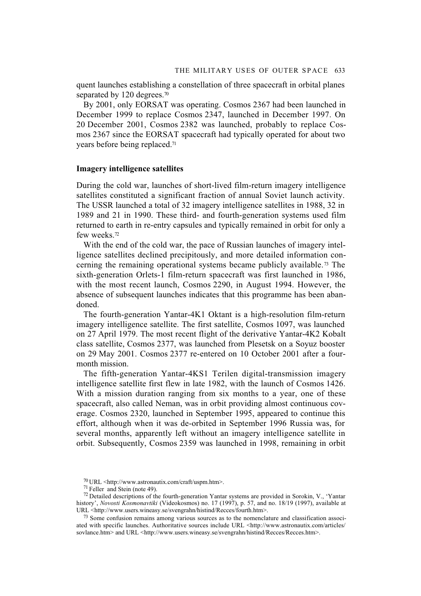quent launches establishing a constellation of three spacecraft in orbital planes separated by 120 degrees.<sup>70</sup>

By 2001, only EORSAT was operating. Cosmos 2367 had been launched in December 1999 to replace Cosmos 2347, launched in December 1997. On 20 December 2001, Cosmos 2382 was launched, probably to replace Cosmos 2367 since the EORSAT spacecraft had typically operated for about two years before being replaced.71

#### **Imagery intelligence satellites**

During the cold war, launches of short-lived film-return imagery intelligence satellites constituted a significant fraction of annual Soviet launch activity. The USSR launched a total of 32 imagery intelligence satellites in 1988, 32 in 1989 and 21 in 1990. These third- and fourth-generation systems used film returned to earth in re-entry capsules and typically remained in orbit for only a few weeks.72

With the end of the cold war, the pace of Russian launches of imagery intelligence satellites declined precipitously, and more detailed information concerning the remaining operational systems became publicly available.73 The sixth-generation Orlets-1 film-return spacecraft was first launched in 1986, with the most recent launch, Cosmos 2290, in August 1994. However, the absence of subsequent launches indicates that this programme has been abandoned.

The fourth-generation Yantar-4K1 Oktant is a high-resolution film-return imagery intelligence satellite. The first satellite, Cosmos 1097, was launched on 27 April 1979. The most recent flight of the derivative Yantar-4K2 Kobalt class satellite, Cosmos 2377, was launched from Plesetsk on a Soyuz booster on 29 May 2001. Cosmos 2377 re-entered on 10 October 2001 after a fourmonth mission.

The fifth-generation Yantar-4KS1 Terilen digital-transmission imagery intelligence satellite first flew in late 1982, with the launch of Cosmos 1426. With a mission duration ranging from six months to a year, one of these spacecraft, also called Neman, was in orbit providing almost continuous coverage. Cosmos 2320, launched in September 1995, appeared to continue this effort, although when it was de-orbited in September 1996 Russia was, for several months, apparently left without an imagery intelligence satellite in orbit. Subsequently, Cosmos 2359 was launched in 1998, remaining in orbit

 $^{70}$  URL <http://www.astronautix.com/craft/uspm.htm>.

<sup>71</sup> Feller and Stein (note 49).

<sup>72</sup> Detailed descriptions of the fourth-generation Yantar systems are provided in Sorokin, V., 'Yantar history', *Novosti Kosmonavtiki* (Videokosmos) no. 17 (1997), p. 57, and no. 18/19 (1997), available at URL <http://www.users.wineasy.se/svengrahn/histind/Recces/fourth.htm>.

<sup>73</sup> Some confusion remains among various sources as to the nomenclature and classification associated with specific launches. Authoritative sources include URL <http://www.astronautix.com/articles/ sovlance.htm> and URL <http://www.users.wineasy.se/svengrahn/histind/Recces/Recces.htm>.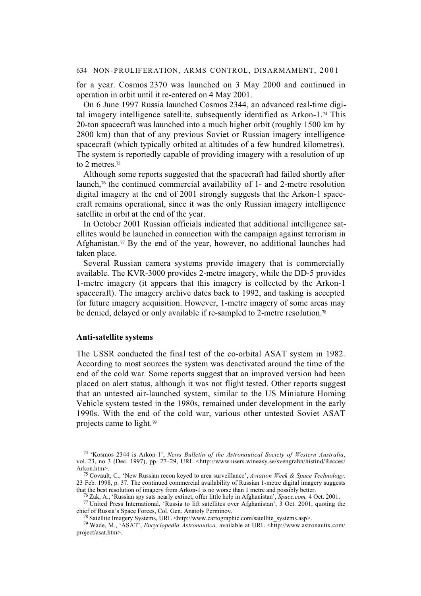for a year. Cosmos 2370 was launched on 3 May 2000 and continued in operation in orbit until it re-entered on 4 May 2001.

On 6 June 1997 Russia launched Cosmos 2344, an advanced real-time digital imagery intelligence satellite, subsequently identified as Arkon-1.<sup>74</sup> This 20-ton spacecraft was launched into a much higher orbit (roughly 1500 km by 2800 km) than that of any previous Soviet or Russian imagery intelligence spacecraft (which typically orbited at altitudes of a few hundred kilometres). The system is reportedly capable of providing imagery with a resolution of up to 2 metres.75

Although some reports suggested that the spacecraft had failed shortly after launch, $\frac{76}{6}$  the continued commercial availability of 1- and 2-metre resolution digital imagery at the end of 2001 strongly suggests that the Arkon-1 spacecraft remains operational, since it was the only Russian imagery intelligence satellite in orbit at the end of the year.

In October 2001 Russian officials indicated that additional intelligence satellites would be launched in connection with the campaign against terrorism in Afghanistan.<sup>77</sup> By the end of the year, however, no additional launches had taken place.

Several Russian camera systems provide imagery that is commercially available. The KVR-3000 provides 2-metre imagery, while the DD-5 provides 1-metre imagery (it appears that this imagery is collected by the Arkon-1 spacecraft). The imagery archive dates back to 1992, and tasking is accepted for future imagery acquisition. However, 1-metre imagery of some areas may be denied, delayed or only available if re-sampled to 2-metre resolution.<sup>78</sup>

## **Anti-satellite systems**

The USSR conducted the final test of the co-orbital ASAT system in 1982. According to most sources the system was deactivated around the time of the end of the cold war. Some reports suggest that an improved version had been placed on alert status, although it was not flight tested. Other reports suggest that an untested air-launched system, similar to the US Miniature Homing Vehicle system tested in the 1980s, remained under development in the early 1990s. With the end of the cold war, various other untested Soviet ASAT projects came to light.79

<sup>74 &#</sup>x27;Kosmos 2344 is Arkon-1', *News Bulletin of the Astronautical Society of Western Australia*, vol. 23, no 3 (Dec. 1997), pp. 27–29, URL <http://www.users.wineasy.se/svengrahn/histind/Recces/ Arkon.htm>.

<sup>75</sup> Covault, C., 'New Russian recon keyed to area surveillance', *Aviation Week & Space Technology,* 23 Feb. 1998, p. 37. The continued commercial availability of Russian 1-metre digital imagery suggests that the best resolution of imagery from Arkon-1 is no worse than 1 metre and possibly better.

<sup>76</sup> Zak, A., 'Russian spy sats nearly extinct, offer little help in Afghanistan', *Space.com,* 4 Oct. 2001.

<sup>77</sup> United Press International, 'Russia to lift satellites over Afghanistan', 3 Oct. 2001, quoting the chief of Russia's Space Forces, Col. Gen. Anatoly Perminov.

<sup>78</sup> Satellite Imagery Systems, URL <http://www.cartographic.com/satellite\_systems.asp>.

<sup>79</sup> Wade, M., 'ASAT', *Encyclopedia Astronautica,* available at URL <http://www.astronautix.com/ project/asat.htm>.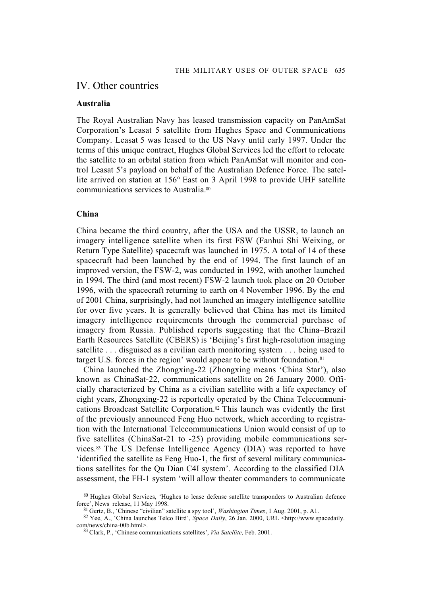## IV. Other countries

#### **Australia**

The Royal Australian Navy has leased transmission capacity on PanAmSat Corporation's Leasat 5 satellite from Hughes Space and Communications Company. Leasat 5 was leased to the US Navy until early 1997. Under the terms of this unique contract, Hughes Global Services led the effort to relocate the satellite to an orbital station from which PanAmSat will monitor and control Leasat 5's payload on behalf of the Australian Defence Force. The satellite arrived on station at 156° East on 3 April 1998 to provide UHF satellite communications services to Australia.80

## **China**

China became the third country, after the USA and the USSR, to launch an imagery intelligence satellite when its first FSW (Fanhui Shi Weixing, or Return Type Satellite) spacecraft was launched in 1975. A total of 14 of these spacecraft had been launched by the end of 1994. The first launch of an improved version, the FSW-2, was conducted in 1992, with another launched in 1994. The third (and most recent) FSW-2 launch took place on 20 October 1996, with the spacecraft returning to earth on 4 November 1996. By the end of 2001 China, surprisingly, had not launched an imagery intelligence satellite for over five years. It is generally believed that China has met its limited imagery intelligence requirements through the commercial purchase of imagery from Russia. Published reports suggesting that the China–Brazil Earth Resources Satellite (CBERS) is 'Beijing's first high-resolution imaging satellite . . . disguised as a civilian earth monitoring system . . . being used to target U.S. forces in the region' would appear to be without foundation.81

China launched the Zhongxing-22 (Zhongxing means 'China Star'), also known as ChinaSat-22, communications satellite on 26 January 2000. Officially characterized by China as a civilian satellite with a life expectancy of eight years, Zhongxing-22 is reportedly operated by the China Telecommunications Broadcast Satellite Corporation.82 This launch was evidently the first of the previously announced Feng Huo network, which according to registration with the International Telecommunications Union would consist of up to five satellites (ChinaSat-21 to -25) providing mobile communications services.83 The US Defense Intelligence Agency (DIA) was reported to have 'identified the satellite as Feng Huo-1, the first of several military communications satellites for the Qu Dian C4I system'. According to the classified DIA assessment, the FH-1 system 'will allow theater commanders to communicate

<sup>80</sup> Hughes Global Services, 'Hughes to lease defense satellite transponders to Australian defence force', News release, 11 May 1998.

<sup>81</sup> Gertz, B., 'Chinese "civilian" satellite a spy tool', *Washington Times*, 1 Aug. 2001, p. A1.

<sup>82</sup> Yee, A., 'China launches Telco Bird', *Space Daily*, 26 Jan. 2000, URL <http://www.spacedaily. com/news/china-00b.html>.

<sup>83</sup> Clark, P., 'Chinese communications satellites', *Via Satellite,* Feb. 2001.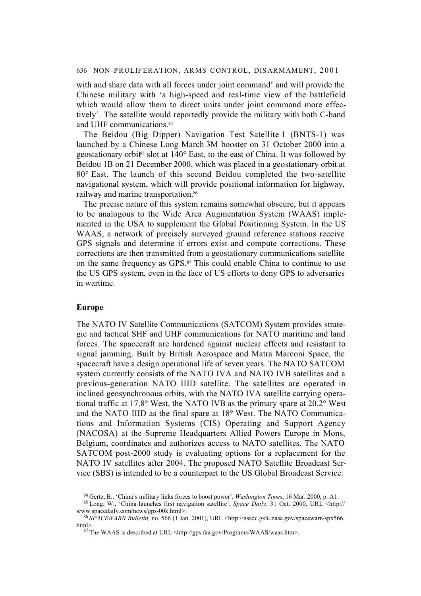with and share data with all forces under joint command' and will provide the Chinese military with 'a high-speed and real-time view of the battlefield which would allow them to direct units under joint command more effectively'. The satellite would reportedly provide the military with both C-band and UHF communications.<sup>84</sup>

The Beidou (Big Dipper) Navigation Test Satellite 1 (BNTS-1) was launched by a Chinese Long March 3M booster on 31 October 2000 into a geostationary orbit<sup>85</sup> slot at  $140^\circ$  East, to the east of China. It was followed by Beidou 1B on 21 December 2000, which was placed in a geostationary orbit at 80° East. The launch of this second Beidou completed the two-satellite navigational system, which will provide positional information for highway, railway and marine transportation.86

The precise nature of this system remains somewhat obscure, but it appears to be analogous to the Wide Area Augmentation System (WAAS) implemented in the USA to supplement the Global Positioning System. In the US WAAS, a network of precisely surveyed ground reference stations receive GPS signals and determine if errors exist and compute corrections. These corrections are then transmitted from a geostationary communications satellite on the same frequency as GPS.87 This could enable China to continue to use the US GPS system, even in the face of US efforts to deny GPS to adversaries in wartime.

#### **Europe**

The NATO IV Satellite Communications (SATCOM) System provides strategic and tactical SHF and UHF communications for NATO maritime and land forces. The spacecraft are hardened against nuclear effects and resistant to signal jamming. Built by British Aerospace and Matra Marconi Space, the spacecraft have a design operational life of seven years. The NATO SATCOM system currently consists of the NATO IVA and NATO IVB satellites and a previous-generation NATO IIID satellite. The satellites are operated in inclined geosynchronous orbits, with the NATO IVA satellite carrying operational traffic at 17.8° West, the NATO IVB as the primary spare at 20.2° West and the NATO IIID as the final spare at 18° West. The NATO Communications and Information Systems (CIS) Operating and Support Agency (NACOSA) at the Supreme Headquarters Allied Powers Europe in Mons, Belgium, coordinates and authorizes access to NATO satellites. The NATO SATCOM post-2000 study is evaluating options for a replacement for the NATO IV satellites after 2004. The proposed NATO Satellite Broadcast Service (SBS) is intended to be a counterpart to the US Global Broadcast Service.

<sup>84</sup> Gertz, B., 'China's military links forces to boost power', *Washington Times*, 16 Mar. 2000, p. A1.

<sup>85</sup> Long, W., 'China launches first navigation satellite', *Space Daily*, 31 Oct. 2000, URL <http:// www.spacedaily.com/news/gps-00k.html>.

<sup>86</sup> *SPACEWARN Bulletin,* no. 566 (1 Jan. 2001), URL <http://nssdc.gsfc.nasa.gov/spacewarn/spx566. html>.

 $87$  The WAAS is described at URL <http://gps.faa.gov/Programs/WAAS/waas.htm>.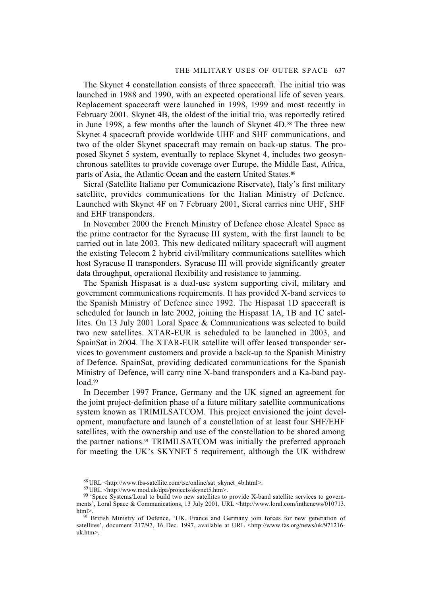#### THE MILITARY USES OF OUTER SPACE 637

The Skynet 4 constellation consists of three spacecraft. The initial trio was launched in 1988 and 1990, with an expected operational life of seven years. Replacement spacecraft were launched in 1998, 1999 and most recently in February 2001. Skynet 4B, the oldest of the initial trio, was reportedly retired in June 1998, a few months after the launch of Skynet 4D.88 The three new Skynet 4 spacecraft provide worldwide UHF and SHF communications, and two of the older Skynet spacecraft may remain on back-up status. The proposed Skynet 5 system, eventually to replace Skynet 4, includes two geosynchronous satellites to provide coverage over Europe, the Middle East, Africa, parts of Asia, the Atlantic Ocean and the eastern United States.<sup>89</sup>

Sicral (Satellite Italiano per Comunicazione Riservate), Italy's first military satellite, provides communications for the Italian Ministry of Defence. Launched with Skynet 4F on 7 February 2001, Sicral carries nine UHF, SHF and EHF transponders.

In November 2000 the French Ministry of Defence chose Alcatel Space as the prime contractor for the Syracuse III system, with the first launch to be carried out in late 2003. This new dedicated military spacecraft will augment the existing Telecom 2 hybrid civil/military communications satellites which host Syracuse II transponders. Syracuse III will provide significantly greater data throughput, operational flexibility and resistance to jamming.

The Spanish Hispasat is a dual-use system supporting civil, military and government communications requirements. It has provided X-band services to the Spanish Ministry of Defence since 1992. The Hispasat 1D spacecraft is scheduled for launch in late 2002, joining the Hispasat 1A, 1B and 1C satellites. On 13 July 2001 Loral Space & Communications was selected to build two new satellites. XTAR-EUR is scheduled to be launched in 2003, and SpainSat in 2004. The XTAR-EUR satellite will offer leased transponder services to government customers and provide a back-up to the Spanish Ministry of Defence. SpainSat, providing dedicated communications for the Spanish Ministry of Defence, will carry nine X-band transponders and a Ka-band payload.<sup>90</sup>

In December 1997 France, Germany and the UK signed an agreement for the joint project-definition phase of a future military satellite communications system known as TRIMILSATCOM. This project envisioned the joint development, manufacture and launch of a constellation of at least four SHF/EHF satellites, with the ownership and use of the constellation to be shared among the partner nations.91 TRIMILSATCOM was initially the preferred approach for meeting the UK's SKYNET 5 requirement, although the UK withdrew

<sup>88</sup> URL <http://www.tbs-satellite.com/tse/online/sat\_skynet\_4b.html>.

<sup>89</sup> URL <http://www.mod.uk/dpa/projects/skynet5.htm>.

<sup>90 &#</sup>x27;Space Systems/Loral to build two new satellites to provide X-band satellite services to governments', Loral Space & Communications, 13 July 2001, URL <http://www.loral.com/inthenews/010713. html>.

<sup>&</sup>lt;sup>91</sup> British Ministry of Defence, 'UK, France and Germany join forces for new generation of satellites', document 217/97, 16 Dec. 1997, available at URL <http://www.fas.org/news/uk/971216uk.htm>.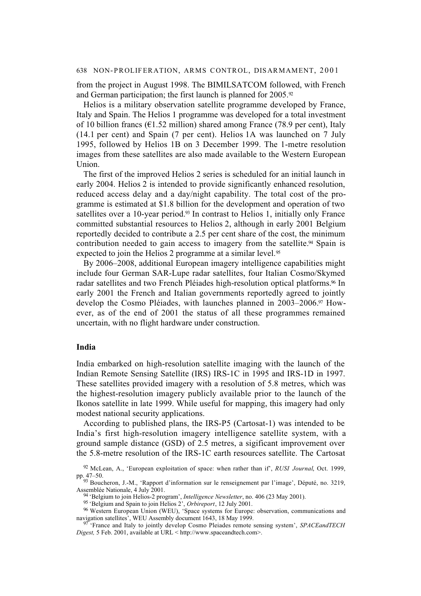from the project in August 1998. The BIMILSATCOM followed, with French and German participation; the first launch is planned for 2005.<sup>92</sup>

Helios is a military observation satellite programme developed by France, Italy and Spain. The Helios 1 programme was developed for a total investment of 10 billion francs ( $\epsilon$ 1.52 million) shared among France (78.9 per cent), Italy (14.1 per cent) and Spain (7 per cent). Helios 1A was launched on 7 July 1995, followed by Helios 1B on 3 December 1999. The 1-metre resolution images from these satellites are also made available to the Western European Union.

The first of the improved Helios 2 series is scheduled for an initial launch in early 2004. Helios 2 is intended to provide significantly enhanced resolution, reduced access delay and a day/night capability. The total cost of the programme is estimated at \$1.8 billion for the development and operation of two satellites over a 10-year period.<sup>93</sup> In contrast to Helios 1, initially only France committed substantial resources to Helios 2, although in early 2001 Belgium reportedly decided to contribute a 2.5 per cent share of the cost, the minimum contribution needed to gain access to imagery from the satellite.<sup>94</sup> Spain is expected to join the Helios 2 programme at a similar level.<sup>95</sup>

By 2006–2008, additional European imagery intelligence capabilities might include four German SAR-Lupe radar satellites, four Italian Cosmo/Skymed radar satellites and two French Pléiades high-resolution optical platforms.<sup>96</sup> In early 2001 the French and Italian governments reportedly agreed to jointly develop the Cosmo Pléiades, with launches planned in 2003–2006.97 However, as of the end of 2001 the status of all these programmes remained uncertain, with no flight hardware under construction.

## **India**

India embarked on high-resolution satellite imaging with the launch of the Indian Remote Sensing Satellite (IRS) IRS-1C in 1995 and IRS-1D in 1997. These satellites provided imagery with a resolution of 5.8 metres, which was the highest-resolution imagery publicly available prior to the launch of the Ikonos satellite in late 1999. While useful for mapping, this imagery had only modest national security applications.

According to published plans, the IRS-P5 (Cartosat-1) was intended to be India's first high-resolution imagery intelligence satellite system, with a ground sample distance (GSD) of 2.5 metres, a sigificant improvement over the 5.8-metre resolution of the IRS-1C earth resources satellite. The Cartosat

<sup>92</sup> McLean, A., 'European exploitation of space: when rather than if', *RUSI Journal*, Oct. 1999, pp. 47–50.

<sup>93</sup> Boucheron, J.-M., 'Rapport d'information sur le renseignement par l'image', Député, no. 3219, Assemblée Nationale, 4 July 2001.

<sup>94 &#</sup>x27;Belgium to join Helios-2 program', *Intelligence Newsletter*, no. 406 (23 May 2001).

<sup>95 &#</sup>x27;Belgium and Spain to join Helios 2', *Orbireport*, 12 July 2001.

<sup>96</sup> Western European Union (WEU), 'Space systems for Europe: observation, communications and navigation satellites', WEU Assembly document 1643, 18 May 1999.

<sup>97 &#</sup>x27;France and Italy to jointly develop Cosmo Pleiades remote sensing system', *SPACEandTECH Digest,* 5 Feb. 2001, available at URL < http://www.spaceandtech.com>.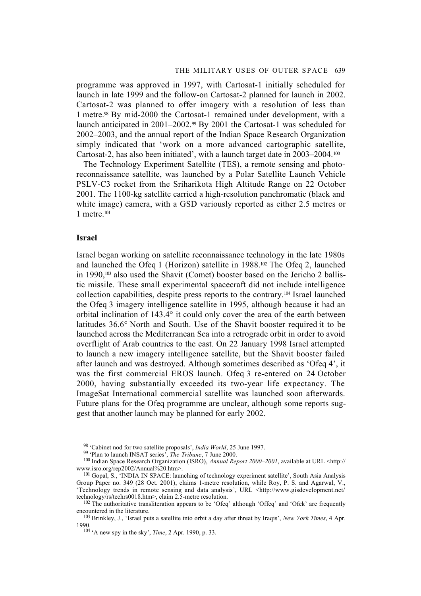programme was approved in 1997, with Cartosat-1 initially scheduled for launch in late 1999 and the follow-on Cartosat-2 planned for launch in 2002. Cartosat-2 was planned to offer imagery with a resolution of less than 1 metre.98 By mid-2000 the Cartosat-1 remained under development, with a launch anticipated in 2001–2002.<sup>99</sup> By 2001 the Cartosat-1 was scheduled for 2002–2003, and the annual report of the Indian Space Research Organization simply indicated that 'work on a more advanced cartographic satellite, Cartosat-2, has also been initiated', with a launch target date in  $2003-2004$ .<sup>100</sup>

The Technology Experiment Satellite (TES), a remote sensing and photoreconnaissance satellite, was launched by a Polar Satellite Launch Vehicle PSLV-C3 rocket from the Sriharikota High Altitude Range on 22 October 2001. The 1100-kg satellite carried a high-resolution panchromatic (black and white image) camera, with a GSD variously reported as either 2.5 metres or 1 metre.101

### **Israel**

Israel began working on satellite reconnaissance technology in the late 1980s and launched the Ofeq 1 (Horizon) satellite in 1988.102 The Ofeq 2, launched in 1990,103 also used the Shavit (Comet) booster based on the Jericho 2 ballistic missile. These small experimental spacecraft did not include intelligence collection capabilities, despite press reports to the contrary.104 Israel launched the Ofeq 3 imagery intelligence satellite in 1995, although because it had an orbital inclination of 143.4° it could only cover the area of the earth between latitudes 36.6° North and South. Use of the Shavit booster required it to be launched across the Mediterranean Sea into a retrograde orbit in order to avoid overflight of Arab countries to the east. On 22 January 1998 Israel attempted to launch a new imagery intelligence satellite, but the Shavit booster failed after launch and was destroyed. Although sometimes described as 'Ofeq 4', it was the first commercial EROS launch. Ofeq 3 re-entered on 24 October 2000, having substantially exceeded its two-year life expectancy. The ImageSat International commercial satellite was launched soon afterwards. Future plans for the Ofeq programme are unclear, although some reports suggest that another launch may be planned for early 2002.

<sup>98 &#</sup>x27;Cabinet nod for two satellite proposals', *India World*, 25 June 1997.

<sup>99 &#</sup>x27;Plan to launch INSAT series', *The Tribune*, 7 June 2000.

<sup>&</sup>lt;sup>100</sup> Indian Space Research Organization (ISRO), *Annual Report 2000–2001*, available at URL <http:// www.isro.org/rep2002/Annual%20.htm>.

<sup>&</sup>lt;sup>101</sup> Gopal, S., 'INDIA IN SPACE: launching of technology experiment satellite', South Asia Analysis Group Paper no. 349 (28 Oct. 2001), claims 1-metre resolution, while Roy, P. S. and Agarwal, V., 'Technology trends in remote sensing and data analysis', URL <http://www.gisdevelopment.net/ technology/rs/techrs0018.htm>, claim 2.5-metre resolution.

<sup>&</sup>lt;sup>102</sup> The authoritative transliteration appears to be 'Ofeq' although 'Offeq' and 'Ofek' are frequently encountered in the literature.

<sup>103</sup> Brinkley, J., 'Israel puts a satellite into orbit a day after threat by Iraqis', *New York Times*, 4 Apr. 1990.

<sup>104 &#</sup>x27;A new spy in the sky', *Time*, 2 Apr. 1990, p. 33.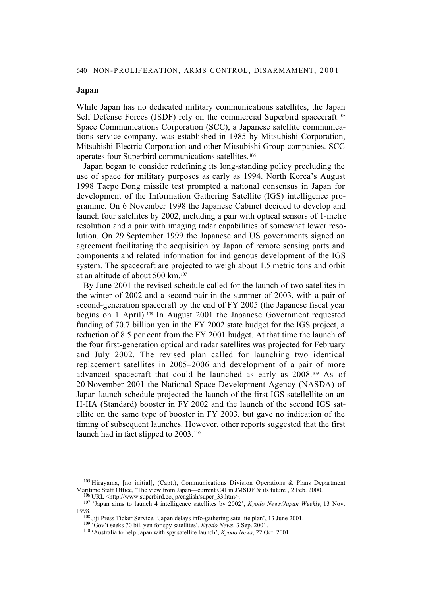## **Japan**

While Japan has no dedicated military communications satellites, the Japan Self Defense Forces (JSDF) rely on the commercial Superbird spacecraft.<sup>105</sup> Space Communications Corporation (SCC), a Japanese satellite communications service company, was established in 1985 by Mitsubishi Corporation, Mitsubishi Electric Corporation and other Mitsubishi Group companies. SCC operates four Superbird communications satellites.106

Japan began to consider redefining its long-standing policy precluding the use of space for military purposes as early as 1994. North Korea's August 1998 Taepo Dong missile test prompted a national consensus in Japan for development of the Information Gathering Satellite (IGS) intelligence programme. On 6 November 1998 the Japanese Cabinet decided to develop and launch four satellites by 2002, including a pair with optical sensors of 1-metre resolution and a pair with imaging radar capabilities of somewhat lower resolution. On 29 September 1999 the Japanese and US governments signed an agreement facilitating the acquisition by Japan of remote sensing parts and components and related information for indigenous development of the IGS system. The spacecraft are projected to weigh about 1.5 metric tons and orbit at an altitude of about 500 km.107

By June 2001 the revised schedule called for the launch of two satellites in the winter of 2002 and a second pair in the summer of 2003, with a pair of second-generation spacecraft by the end of FY 2005 (the Japanese fiscal year begins on 1 April).108 In August 2001 the Japanese Government requested funding of 70.7 billion yen in the FY 2002 state budget for the IGS project, a reduction of 8.5 per cent from the FY 2001 budget. At that time the launch of the four first-generation optical and radar satellites was projected for February and July 2002. The revised plan called for launching two identical replacement satellites in 2005–2006 and development of a pair of more advanced spacecraft that could be launched as early as 2008.109 As of 20 November 2001 the National Space Development Agency (NASDA) of Japan launch schedule projected the launch of the first IGS satellellite on an H-IIA (Standard) booster in FY 2002 and the launch of the second IGS satellite on the same type of booster in FY 2003, but gave no indication of the timing of subsequent launches. However, other reports suggested that the first launch had in fact slipped to 2003.110

<sup>108</sup> Jiji Press Ticker Service, 'Japan delays info-gathering satellite plan', 13 June 2001.

<sup>105</sup> Hirayama, [no initial], (Capt.), Communications Division Operations & Plans Department Maritime Staff Office, 'The view from Japan—current C4I in JMSDF & its future', 2 Feb. 2000.

 $106$  URL <http://www.superbird.co.jp/english/super 33.htm>.

<sup>107 &#</sup>x27;Japan aims to launch 4 intelligence satellites by 2002', *Kyodo News/Japan Weekly,* 13 Nov. 1998.

<sup>109 &#</sup>x27;Gov't seeks 70 bil. yen for spy satellites', *Kyodo News*, 3 Sep. 2001.

<sup>110 &#</sup>x27;Australia to help Japan with spy satellite launch', *Kyodo News*, 22 Oct. 2001.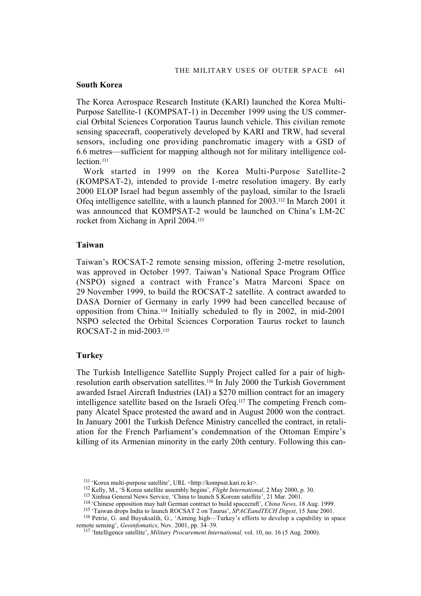### **South Korea**

The Korea Aerospace Research Institute (KARI) launched the Korea Multi-Purpose Satellite-1 (KOMPSAT-1) in December 1999 using the US commercial Orbital Sciences Corporation Taurus launch vehicle. This civilian remote sensing spacecraft, cooperatively developed by KARI and TRW, had several sensors, including one providing panchromatic imagery with a GSD of 6.6 metres—sufficient for mapping although not for military intelligence collection<sup>111</sup>

Work started in 1999 on the Korea Multi-Purpose Satellite-2 (KOMPSAT-2), intended to provide 1-metre resolution imagery. By early 2000 ELOP Israel had begun assembly of the payload, similar to the Israeli Ofeq intelligence satellite, with a launch planned for 2003.112 In March 2001 it was announced that KOMPSAT-2 would be launched on China's LM-2C rocket from Xichang in April 2004.113

### **Taiwan**

Taiwan's ROCSAT-2 remote sensing mission, offering 2-metre resolution, was approved in October 1997. Taiwan's National Space Program Office (NSPO) signed a contract with France's Matra Marconi Space on 29 November 1999, to build the ROCSAT-2 satellite. A contract awarded to DASA Dornier of Germany in early 1999 had been cancelled because of opposition from China.114 Initially scheduled to fly in 2002, in mid-2001 NSPO selected the Orbital Sciences Corporation Taurus rocket to launch ROCSAT-2 in mid-2003.115

## **Turkey**

The Turkish Intelligence Satellite Supply Project called for a pair of highresolution earth observation satellites.116 In July 2000 the Turkish Government awarded Israel Aircraft Industries (IAI) a \$270 million contract for an imagery intelligence satellite based on the Israeli Ofeq.117 The competing French company Alcatel Space protested the award and in August 2000 won the contract. In January 2001 the Turkish Defence Ministry cancelled the contract, in retaliation for the French Parliament's condemnation of the Ottoman Empire's killing of its Armenian minority in the early 20th century. Following this can-

<sup>111 &#</sup>x27;Korea multi-purpose satellite', URL <http://kompsat.kari.re.kr>.

<sup>112</sup> Kelly, M., 'S Korea satellite assembly begins', *Flight International*, 2 May 2000, p. 30.

<sup>113</sup> Xinhua General News Service, 'China to launch S.Korean satellite', 21 Mar. 2001.

<sup>114 &#</sup>x27;Chinese opposition may halt German contract to build spacecraft', *China News,* 18 Aug. 1999.

<sup>115 &#</sup>x27;Taiwan drops India to launch ROCSAT 2 on Taurus', *SPACEandTECH Digest*, 15 June 2001.

<sup>116</sup> Petrie, G. and Buyuksalih, G., 'Aiming high—Turkey's efforts to develop a capability in space remote sensing', *Geoinfomatics*, Nov. 2001, pp. 34–39.

<sup>117 &#</sup>x27;Intelligence satellite', *Military Procurement International,* vol. 10, no. 16 (5 Aug. 2000).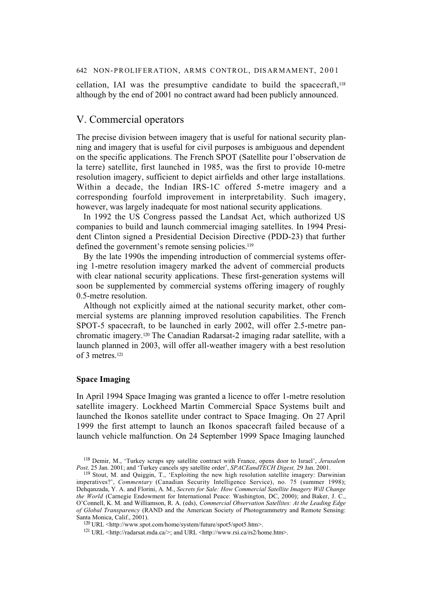cellation, IAI was the presumptive candidate to build the spacecraft,118 although by the end of 2001 no contract award had been publicly announced.

## V. Commercial operators

The precise division between imagery that is useful for national security planning and imagery that is useful for civil purposes is ambiguous and dependent on the specific applications. The French SPOT (Satellite pour l'observation de la terre) satellite, first launched in 1985, was the first to provide 10-metre resolution imagery, sufficient to depict airfields and other large installations. Within a decade, the Indian IRS-1C offered 5-metre imagery and a corresponding fourfold improvement in interpretability. Such imagery, however, was largely inadequate for most national security applications.

In 1992 the US Congress passed the Landsat Act, which authorized US companies to build and launch commercial imaging satellites. In 1994 President Clinton signed a Presidential Decision Directive (PDD-23) that further defined the government's remote sensing policies.<sup>119</sup>

By the late 1990s the impending introduction of commercial systems offering 1-metre resolution imagery marked the advent of commercial products with clear national security applications. These first-generation systems will soon be supplemented by commercial systems offering imagery of roughly 0.5-metre resolution.

Although not explicitly aimed at the national security market, other commercial systems are planning improved resolution capabilities. The French SPOT-5 spacecraft, to be launched in early 2002, will offer 2.5-metre panchromatic imagery.120 The Canadian Radarsat-2 imaging radar satellite, with a launch planned in 2003, will offer all-weather imagery with a best resolution of 3 metres.121

### **Space Imaging**

In April 1994 Space Imaging was granted a licence to offer 1-metre resolution satellite imagery. Lockheed Martin Commercial Space Systems built and launched the Ikonos satellite under contract to Space Imaging. On 27 April 1999 the first attempt to launch an Ikonos spacecraft failed because of a launch vehicle malfunction. On 24 September 1999 Space Imaging launched

<sup>118</sup> Demir, M., 'Turkey scraps spy satellite contract with France, opens door to Israel', *Jerusalem Post,* 25 Jan. 2001; and 'Turkey cancels spy satellite order', *SPACEandTECH Digest,* 29 Jan. 2001.

<sup>119</sup> Stout, M. and Quiggin, T., 'Exploiting the new high resolution satellite imagery: Darwinian imperatives?', *Commentary* (Canadian Security Intelligence Service), no. 75 (summer 1998); Dehqanzada, Y. A. and Florini, A. M., *Secrets for Sale: How Commercial Satellite Imagery Will Change the World* (Carnegie Endowment for International Peace: Washington, DC, 2000); and Baker, J. C., O'Connell, K. M. and Williamson, R. A. (eds), *Commercial Observation Satellites: At the Leading Edge of Global Transparency* (RAND and the American Society of Photogrammetry and Remote Sensing: Santa Monica, Calif., 2001).

<sup>120</sup> URL <http://www.spot.com/home/system/future/spot5/spot5.htm>.

<sup>121</sup> URL <http://radarsat.mda.ca/>; and URL <http://www.rsi.ca/rs2/home.htm>.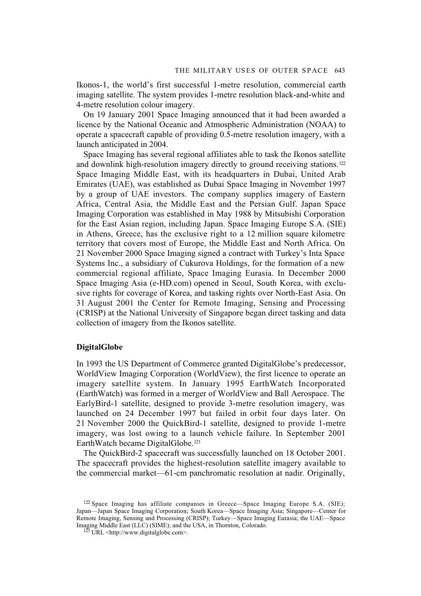Ikonos-1, the world's first successful 1-metre resolution, commercial earth imaging satellite. The system provides 1-metre resolution black-and-white and 4-metre resolution colour imagery.

On 19 January 2001 Space Imaging announced that it had been awarded a licence by the National Oceanic and Atmospheric Administration (NOAA) to operate a spacecraft capable of providing 0.5-metre resolution imagery, with a launch anticipated in 2004.

Space Imaging has several regional affiliates able to task the Ikonos satellite and downlink high-resolution imagery directly to ground receiving stations.<sup>122</sup> Space Imaging Middle East, with its headquarters in Dubai, United Arab Emirates (UAE), was established as Dubai Space Imaging in November 1997 by a group of UAE investors. The company supplies imagery of Eastern Africa, Central Asia, the Middle East and the Persian Gulf. Japan Space Imaging Corporation was established in May 1988 by Mitsubishi Corporation for the East Asian region, including Japan. Space Imaging Europe S.A. (SIE) in Athens, Greece, has the exclusive right to a 12 million square kilometre territory that covers most of Europe, the Middle East and North Africa. On 21 November 2000 Space Imaging signed a contract with Turkey's Inta Space Systems Inc., a subsidiary of Cukurova Holdings, for the formation of a new commercial regional affiliate, Space Imaging Eurasia. In December 2000 Space Imaging Asia (e-HD.com) opened in Seoul, South Korea, with exclusive rights for coverage of Korea, and tasking rights over North-East Asia. On 31 August 2001 the Center for Remote Imaging, Sensing and Processing (CRISP) at the National University of Singapore began direct tasking and data collection of imagery from the Ikonos satellite.

## **DigitalGlobe**

In 1993 the US Department of Commerce granted DigitalGlobe's predecessor, WorldView Imaging Corporation (WorldView), the first licence to operate an imagery satellite system. In January 1995 EarthWatch Incorporated (EarthWatch) was formed in a merger of WorldView and Ball Aerospace. The EarlyBird-1 satellite, designed to provide 3-metre resolution imagery, was launched on 24 December 1997 but failed in orbit four days later. On 21 November 2000 the QuickBird-1 satellite, designed to provide 1-metre imagery, was lost owing to a launch vehicle failure. In September 2001 EarthWatch became DigitalGlobe.123

The QuickBird-2 spacecraft was successfully launched on 18 October 2001. The spacecraft provides the highest-resolution satellite imagery available to the commercial market—61-cm panchromatic resolution at nadir. Originally,

<sup>122</sup> Space Imaging has affiliate companies in Greece—Space Imaging Europe S.A. (SIE); Japan—Japan Space Imaging Corporation; South Korea—Space Imaging Asia; Singapore—Center for Remote Imaging, Sensing and Processing (CRISP); Turkey—Space Imaging Eurasia; the UAE—Space Imaging Middle East (LLC) (SIME); and the USA, in Thornton, Colorado.

<sup>&</sup>lt;sup>123</sup> URL <http://www.digitalglobe.com>.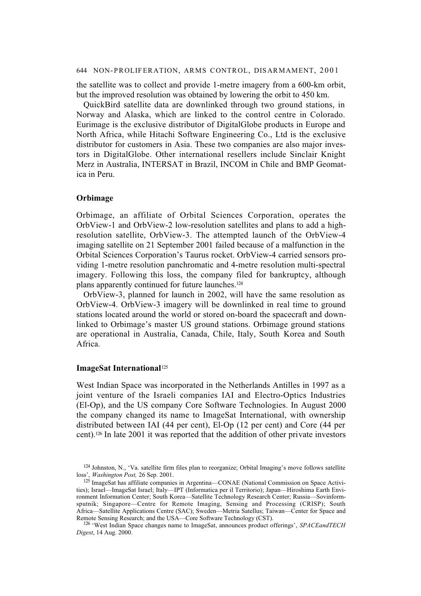the satellite was to collect and provide 1-metre imagery from a 600-km orbit, but the improved resolution was obtained by lowering the orbit to 450 km.

QuickBird satellite data are downlinked through two ground stations, in Norway and Alaska, which are linked to the control centre in Colorado. Eurimage is the exclusive distributor of DigitalGlobe products in Europe and North Africa, while Hitachi Software Engineering Co., Ltd is the exclusive distributor for customers in Asia. These two companies are also major investors in DigitalGlobe. Other international resellers include Sinclair Knight Merz in Australia, INTERSAT in Brazil, INCOM in Chile and BMP Geomatica in Peru.

### **Orbimage**

Orbimage, an affiliate of Orbital Sciences Corporation, operates the OrbView-1 and OrbView-2 low-resolution satellites and plans to add a highresolution satellite, OrbView-3. The attempted launch of the OrbView-4 imaging satellite on 21 September 2001 failed because of a malfunction in the Orbital Sciences Corporation's Taurus rocket. OrbView-4 carried sensors providing 1-metre resolution panchromatic and 4-metre resolution multi-spectral imagery. Following this loss, the company filed for bankruptcy, although plans apparently continued for future launches.124

OrbView-3, planned for launch in 2002, will have the same resolution as OrbView-4. OrbView-3 imagery will be downlinked in real time to ground stations located around the world or stored on-board the spacecraft and downlinked to Orbimage's master US ground stations. Orbimage ground stations are operational in Australia, Canada, Chile, Italy, South Korea and South Africa.

## **ImageSat International**<sup>125</sup>

West Indian Space was incorporated in the Netherlands Antilles in 1997 as a joint venture of the Israeli companies IAI and Electro-Optics Industries (El-Op), and the US company Core Software Technologies. In August 2000 the company changed its name to ImageSat International, with ownership distributed between IAI (44 per cent), El-Op (12 per cent) and Core (44 per cent).126 In late 2001 it was reported that the addition of other private investors

<sup>124</sup> Johnston, N., 'Va. satellite firm files plan to reorganize; Orbital Imaging's move follows satellite loss', *Washington Post,* 26 Sep. 2001.

<sup>125</sup> ImageSat has affiliate companies in Argentina—CONAE (National Commission on Space Activities); Israel—ImageSat Israel; Italy—IPT (Informatica per il Territorio); Japan—Hiroshima Earth Environment Information Center; South Korea—Satellite Technology Research Center; Russia—Sovinformsputnik; Singapore—Centre for Remote Imaging, Sensing and Processing (CRISP); South Africa—Satellite Applications Centre (SAC); Sweden—Metria Satellus; Taiwan—Center for Space and Remote Sensing Research; and the USA—Core Software Technology (CST).

<sup>126 &#</sup>x27;West Indian Space changes name to ImageSat, announces product offerings', *SPACEandTECH Digest*, 14 Aug. 2000.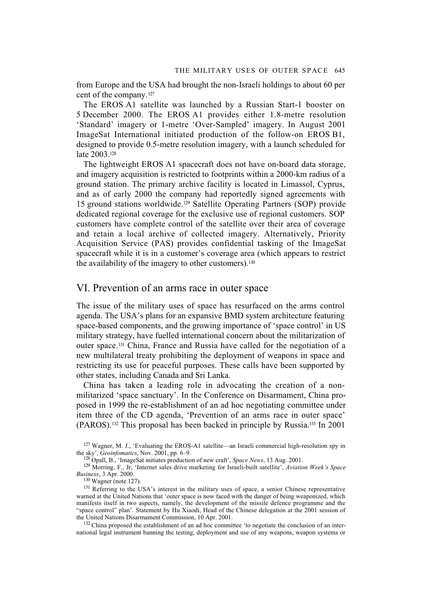from Europe and the USA had brought the non-Israeli holdings to about 60 per cent of the company.127

The EROS A1 satellite was launched by a Russian Start-1 booster on 5 December 2000. The EROS A1 provides either 1.8-metre resolution 'Standard' imagery or 1-metre 'Over-Sampled' imagery. In August 2001 ImageSat International initiated production of the follow-on EROS B1, designed to provide 0.5-metre resolution imagery, with a launch scheduled for late 2003.128

The lightweight EROS A1 spacecraft does not have on-board data storage, and imagery acquisition is restricted to footprints within a 2000-km radius of a ground station. The primary archive facility is located in Limassol, Cyprus, and as of early 2000 the company had reportedly signed agreements with 15 ground stations worldwide.129 Satellite Operating Partners (SOP) provide dedicated regional coverage for the exclusive use of regional customers. SOP customers have complete control of the satellite over their area of coverage and retain a local archive of collected imagery. Alternatively, Priority Acquisition Service (PAS) provides confidential tasking of the ImageSat spacecraft while it is in a customer's coverage area (which appears to restrict the availability of the imagery to other customers).130

## VI. Prevention of an arms race in outer space

The issue of the military uses of space has resurfaced on the arms control agenda. The USA's plans for an expansive BMD system architecture featuring space-based components, and the growing importance of 'space control' in US military strategy, have fuelled international concern about the militarization of outer space.131 China, France and Russia have called for the negotiation of a new multilateral treaty prohibiting the deployment of weapons in space and restricting its use for peaceful purposes. These calls have been supported by other states, including Canada and Sri Lanka.

China has taken a leading role in advocating the creation of a nonmilitarized 'space sanctuary'. In the Conference on Disarmament, China proposed in 1999 the re-establishment of an ad hoc negotiating committee under item three of the CD agenda, 'Prevention of an arms race in outer space' (PAROS).132 This proposal has been backed in principle by Russia.133 In 2001

130 Wagner (note 127).

<sup>132</sup> China proposed the establishment of an ad hoc committee 'to negotiate the conclusion of an international legal instrument banning the testing, deployment and use of any weapons, weapon systems or

 $127$  Wagner, M. J., 'Evaluating the EROS-A1 satellite—an Israeli commercial high-resolution spy in the sky', *Geoinfomatics*, Nov. 2001, pp. 6–9.

<sup>128</sup> Opall, B., 'ImageSat initiates production of new craft', *Space News*, 13 Aug. 2001.

<sup>129</sup> Morring, F., Jr, 'Internet sales drive marketing for Israeli-built satellite', *Aviation Week's Space Business*, 3 Apr. 2000.

<sup>&</sup>lt;sup>131</sup> Referring to the USA's interest in the military uses of space, a senior Chinese representative warned at the United Nations that 'outer space is now faced with the danger of being weaponized, which manifests itself in two aspects, namely, the development of the missile defence programme and the "space control" plan'. Statement by Hu Xiaodi, Head of the Chinese delegation at the 2001 session of the United Nations Disarmament Commission, 10 Apr. 2001.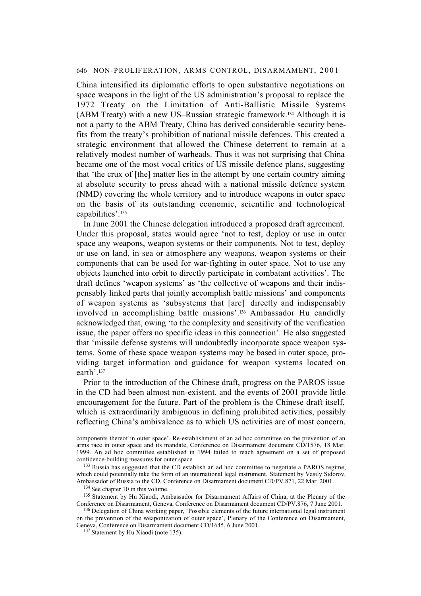China intensified its diplomatic efforts to open substantive negotiations on space weapons in the light of the US administration's proposal to replace the 1972 Treaty on the Limitation of Anti-Ballistic Missile Systems (ABM Treaty) with a new US–Russian strategic framework.134 Although it is not a party to the ABM Treaty, China has derived considerable security benefits from the treaty's prohibition of national missile defences. This created a strategic environment that allowed the Chinese deterrent to remain at a relatively modest number of warheads. Thus it was not surprising that China became one of the most vocal critics of US missile defence plans, suggesting that 'the crux of [the] matter lies in the attempt by one certain country aiming at absolute security to press ahead with a national missile defence system (NMD) covering the whole territory and to introduce weapons in outer space on the basis of its outstanding economic, scientific and technological capabilities'.<sup>135</sup>

In June 2001 the Chinese delegation introduced a proposed draft agreement. Under this proposal, states would agree 'not to test, deploy or use in outer space any weapons, weapon systems or their components. Not to test, deploy or use on land, in sea or atmosphere any weapons, weapon systems or their components that can be used for war-fighting in outer space. Not to use any objects launched into orbit to directly participate in combatant activities'. The draft defines 'weapon systems' as 'the collective of weapons and their indispensably linked parts that jointly accomplish battle missions' and components of weapon systems as 'subsystems that [are] directly and indispensably involved in accomplishing battle missions'.136 Ambassador Hu candidly acknowledged that, owing 'to the complexity and sensitivity of the verification issue, the paper offers no specific ideas in this connection'. He also suggested that 'missile defense systems will undoubtedly incorporate space weapon systems. Some of these space weapon systems may be based in outer space, providing target information and guidance for weapon systems located on earth'.137

Prior to the introduction of the Chinese draft, progress on the PAROS issue in the CD had been almost non-existent, and the events of 2001 provide little encouragement for the future. Part of the problem is the Chinese draft itself, which is extraordinarily ambiguous in defining prohibited activities, possibly reflecting China's ambivalence as to which US activities are of most concern.

<sup>133</sup> Russia has suggested that the CD establish an ad hoc committee to negotiate a PAROS regime, which could potentially take the form of an international legal instrument. Statement by Vasily Sidorov, Ambassador of Russia to the CD, Conference on Disarmament document CD/PV.871, 22 Mar. 2001.

<sup>134</sup> See chapter 10 in this volume.

<sup>136</sup> Delegation of China working paper, 'Possible elements of the future international legal instrument on the prevention of the weaponization of outer space', Plenary of the Conference on Disarmament, Geneva, Conference on Disarmament document CD/1645, 6 June 2001.

components thereof in outer space'. Re-establishment of an ad hoc committee on the prevention of an arms race in outer space and its mandate, Conference on Disarmament document CD/1576, 18 Mar. 1999. An ad hoc committee established in 1994 failed to reach agreement on a set of proposed confidence-building measures for outer space.

<sup>&</sup>lt;sup>135</sup> Statement by Hu Xiaodi, Ambassador for Disarmament Affairs of China, at the Plenary of the Conference on Disarmament, Geneva, Conference on Disarmament document CD/PV.876, 7 June 2001.

<sup>&</sup>lt;sup>137</sup> Statement by Hu Xiaodi (note 135).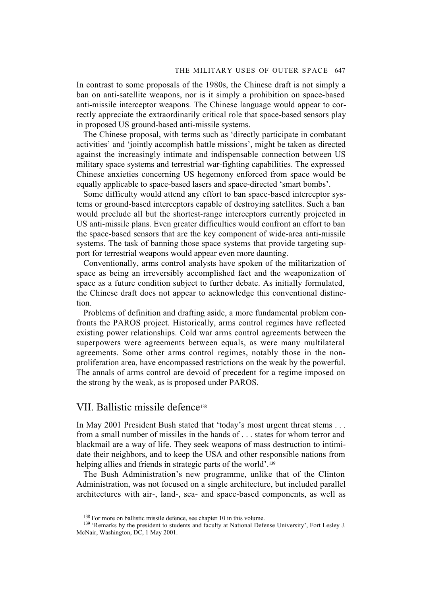In contrast to some proposals of the 1980s, the Chinese draft is not simply a ban on anti-satellite weapons, nor is it simply a prohibition on space-based anti-missile interceptor weapons. The Chinese language would appear to correctly appreciate the extraordinarily critical role that space-based sensors play in proposed US ground-based anti-missile systems.

The Chinese proposal, with terms such as 'directly participate in combatant activities' and 'jointly accomplish battle missions', might be taken as directed against the increasingly intimate and indispensable connection between US military space systems and terrestrial war-fighting capabilities. The expressed Chinese anxieties concerning US hegemony enforced from space would be equally applicable to space-based lasers and space-directed 'smart bombs'.

Some difficulty would attend any effort to ban space-based interceptor systems or ground-based interceptors capable of destroying satellites. Such a ban would preclude all but the shortest-range interceptors currently projected in US anti-missile plans. Even greater difficulties would confront an effort to ban the space-based sensors that are the key component of wide-area anti-missile systems. The task of banning those space systems that provide targeting support for terrestrial weapons would appear even more daunting.

Conventionally, arms control analysts have spoken of the militarization of space as being an irreversibly accomplished fact and the weaponization of space as a future condition subject to further debate. As initially formulated, the Chinese draft does not appear to acknowledge this conventional distinction.

Problems of definition and drafting aside, a more fundamental problem confronts the PAROS project. Historically, arms control regimes have reflected existing power relationships. Cold war arms control agreements between the superpowers were agreements between equals, as were many multilateral agreements. Some other arms control regimes, notably those in the nonproliferation area, have encompassed restrictions on the weak by the powerful. The annals of arms control are devoid of precedent for a regime imposed on the strong by the weak, as is proposed under PAROS.

## VII. Ballistic missile defence138

In May 2001 President Bush stated that 'today's most urgent threat stems . . . from a small number of missiles in the hands of . . . states for whom terror and blackmail are a way of life. They seek weapons of mass destruction to intimidate their neighbors, and to keep the USA and other responsible nations from helping allies and friends in strategic parts of the world'.<sup>139</sup>

The Bush Administration's new programme, unlike that of the Clinton Administration, was not focused on a single architecture, but included parallel architectures with air-, land-, sea- and space-based components, as well as

<sup>&</sup>lt;sup>138</sup> For more on ballistic missile defence, see chapter 10 in this volume.

<sup>&</sup>lt;sup>139</sup> 'Remarks by the president to students and faculty at National Defense University', Fort Lesley J. McNair, Washington, DC, 1 May 2001.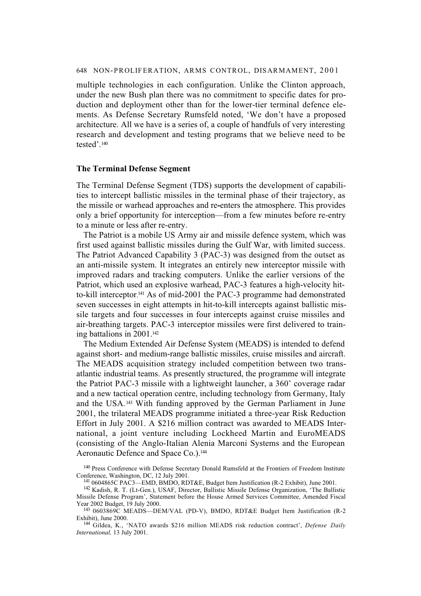multiple technologies in each configuration. Unlike the Clinton approach, under the new Bush plan there was no commitment to specific dates for production and deployment other than for the lower-tier terminal defence elements. As Defense Secretary Rumsfeld noted, 'We don't have a proposed architecture. All we have is a series of, a couple of handfuls of very interesting research and development and testing programs that we believe need to be tested'.140

#### **The Terminal Defense Segment**

The Terminal Defense Segment (TDS) supports the development of capabilities to intercept ballistic missiles in the terminal phase of their trajectory, as the missile or warhead approaches and re**-**enters the atmosphere. This provides only a brief opportunity for interception—from a few minutes before re-entry to a minute or less after re-entry.

The Patriot is a mobile US Army air and missile defence system, which was first used against ballistic missiles during the Gulf War, with limited success. The Patriot Advanced Capability 3 (PAC-3) was designed from the outset as an anti-missile system. It integrates an entirely new interceptor missile with improved radars and tracking computers. Unlike the earlier versions of the Patriot, which used an explosive warhead, PAC-3 features a high-velocity hitto-kill interceptor. 141 As of mid-2001 the PAC-3 programme had demonstrated seven successes in eight attempts in hit-to-kill intercepts against ballistic missile targets and four successes in four intercepts against cruise missiles and air-breathing targets. PAC-3 interceptor missiles were first delivered to training battalions in 2001.142

The Medium Extended Air Defense System (MEADS) is intended to defend against short- and medium-range ballistic missiles, cruise missiles and aircraft. The MEADS acquisition strategy included competition between two transatlantic industrial teams. As presently structured, the programme will integrate the Patriot PAC-3 missile with a lightweight launcher, a 360˚ coverage radar and a new tactical operation centre, including technology from Germany, Italy and the USA.143 With funding approved by the German Parliament in June 2001, the trilateral MEADS programme initiated a three-year Risk Reduction Effort in July 2001. A \$216 million contract was awarded to MEADS International, a joint venture including Lockheed Martin and EuroMEADS (consisting of the Anglo-Italian Alenia Marconi Systems and the European Aeronautic Defence and Space Co.).<sup>144</sup>

<sup>&</sup>lt;sup>140</sup> Press Conference with Defense Secretary Donald Rumsfeld at the Frontiers of Freedom Institute Conference, Washington, DC, 12 July 2001.

<sup>141 0604865</sup>C PAC3—EMD, BMDO, RDT&E, Budget Item Justification (R-2 Exhibit), June 2001.

<sup>142</sup> Kadish, R. T. (Lt-Gen.), USAF, Director, Ballistic Missile Defense Organization, 'The Ballistic Missile Defense Program', Statement before the House Armed Services Committee, Amended Fiscal Year 2002 Budget, 19 July 2000.

<sup>143 0603869</sup>C MEADS—DEM/VAL (PD-V), BMDO, RDT&E Budget Item Justification (R-2 Exhibit), June 2000.

<sup>144</sup> Gildea, K., 'NATO awards \$216 million MEADS risk reduction contract', *Defense Daily International,* 13 July 2001.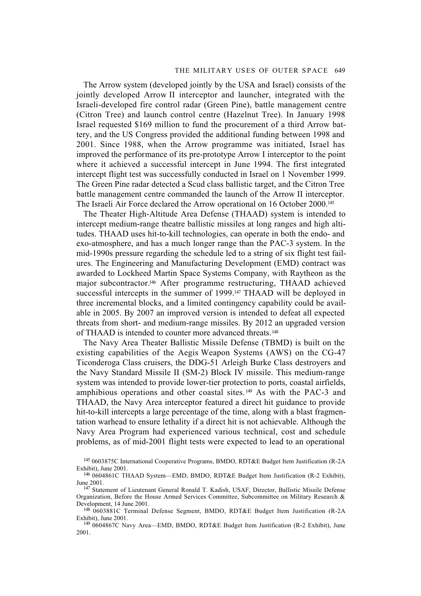#### THE MILITARY USES OF OUTER SPACE 649

The Arrow system (developed jointly by the USA and Israel) consists of the jointly developed Arrow II interceptor and launcher, integrated with the Israeli-developed fire control radar (Green Pine), battle management centre (Citron Tree) and launch control centre (Hazelnut Tree). In January 1998 Israel requested \$169 million to fund the procurement of a third Arrow battery, and the US Congress provided the additional funding between 1998 and 2001. Since 1988, when the Arrow programme was initiated, Israel has improved the performance of its pre-prototype Arrow I interceptor to the point where it achieved a successful intercept in June 1994. The first integrated intercept flight test was successfully conducted in Israel on 1 November 1999. The Green Pine radar detected a Scud class ballistic target, and the Citron Tree battle management centre commanded the launch of the Arrow II interceptor. The Israeli Air Force declared the Arrow operational on 16 October 2000.145

The Theater High-Altitude Area Defense (THAAD) system is intended to intercept medium-range theatre ballistic missiles at long ranges and high altitudes. THAAD uses hit-to-kill technologies, can operate in both the endo- and exo-atmosphere, and has a much longer range than the PAC-3 system. In the mid-1990s pressure regarding the schedule led to a string of six flight test failures. The Engineering and Manufacturing Development (EMD) contract was awarded to Lockheed Martin Space Systems Company, with Raytheon as the major subcontractor.146 After programme restructuring, THAAD achieved successful intercepts in the summer of 1999.<sup>147</sup> THAAD will be deployed in three incremental blocks, and a limited contingency capability could be available in 2005. By 2007 an improved version is intended to defeat all expected threats from short- and medium-range missiles. By 2012 an upgraded version of THAAD is intended to counter more advanced threats.<sup>148</sup>

The Navy Area Theater Ballistic Missile Defense (TBMD) is built on the existing capabilities of the Aegis Weapon Systems (AWS) on the CG-47 Ticonderoga Class cruisers, the DDG-51 Arleigh Burke Class destroyers and the Navy Standard Missile II (SM-2) Block IV missile. This medium-range system was intended to provide lower-tier protection to ports, coastal airfields, amphibious operations and other coastal sites. 149 As with the PAC-3 and THAAD, the Navy Area interceptor featured a direct hit guidance to provide hit-to-kill intercepts a large percentage of the time, along with a blast fragmentation warhead to ensure lethality if a direct hit is not achievable. Although the Navy Area Program had experienced various technical, cost and schedule problems, as of mid-2001 flight tests were expected to lead to an operational

<sup>145 0603875</sup>C International Cooperative Programs, BMDO, RDT&E Budget Item Justification (R-2A Exhibit), June 2001.

<sup>146 0604861</sup>C THAAD System—EMD, BMDO, RDT&E Budget Item Justification (R-2 Exhibit), June 2001.

<sup>147</sup> Statement of Lieutenant General Ronald T. Kadish, USAF, Director, Ballistic Missile Defense Organization, Before the House Armed Services Committee, Subcommittee on Military Research & Development, 14 June 2001.

<sup>148 0603881</sup>C Terminal Defense Segment, BMDO, RDT&E Budget Item Justification (R-2A Exhibit), June 2001.

<sup>149 0604867</sup>C Navy Area—EMD, BMDO, RDT&E Budget Item Justification (R-2 Exhibit), June 2001.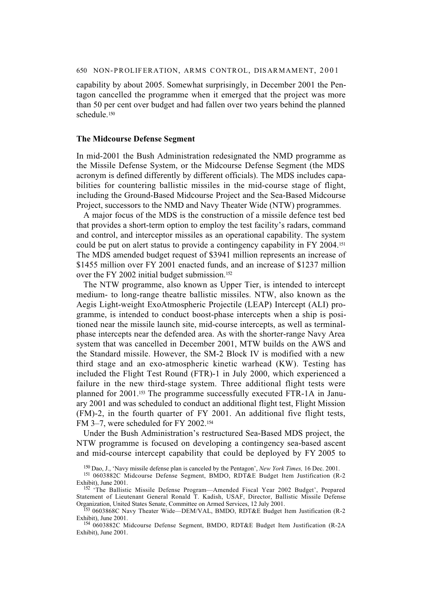capability by about 2005. Somewhat surprisingly, in December 2001 the Pentagon cancelled the programme when it emerged that the project was more than 50 per cent over budget and had fallen over two years behind the planned schedule.150

### **The Midcourse Defense Segment**

In mid-2001 the Bush Administration redesignated the NMD programme as the Missile Defense System, or the Midcourse Defense Segment (the MDS acronym is defined differently by different officials). The MDS includes capabilities for countering ballistic missiles in the mid-course stage of flight, including the Ground-Based Midcourse Project and the Sea-Based Midcourse Project, successors to the NMD and Navy Theater Wide (NTW) programmes.

A major focus of the MDS is the construction of a missile defence test bed that provides a short-term option to employ the test facility's radars, command and control, and interceptor missiles as an operational capability. The system could be put on alert status to provide a contingency capability in FY 2004.151 The MDS amended budget request of \$3941 million represents an increase of \$1455 million over FY 2001 enacted funds, and an increase of \$1237 million over the FY 2002 initial budget submission.<sup>152</sup>

The NTW programme, also known as Upper Tier, is intended to intercept medium- to long-range theatre ballistic missiles. NTW, also known as the Aegis Light-weight ExoAtmospheric Projectile (LEAP) Intercept (ALI) programme, is intended to conduct boost-phase intercepts when a ship is positioned near the missile launch site, mid-course intercepts, as well as terminalphase intercepts near the defended area. As with the shorter-range Navy Area system that was cancelled in December 2001, MTW builds on the AWS and the Standard missile. However, the SM-2 Block IV is modified with a new third stage and an exo-atmospheric kinetic warhead (KW). Testing has included the Flight Test Round (FTR)-1 in July 2000, which experienced a failure in the new third-stage system. Three additional flight tests were planned for 2001.153 The programme successfully executed FTR-1A in January 2001 and was scheduled to conduct an additional flight test, Flight Mission (FM)-2, in the fourth quarter of FY 2001. An additional five flight tests, FM 3–7, were scheduled for FY 2002.154

Under the Bush Administration's restructured Sea-Based MDS project, the NTW programme is focused on developing a contingency sea-based ascent and mid-course intercept capability that could be deployed by FY 2005 to

150 Dao, J., 'Navy missile defense plan is canceled by the Pentagon', *New York Times,* 16 Dec. 2001.

<sup>151 0603882</sup>C Midcourse Defense Segment, BMDO, RDT&E Budget Item Justification (R-2 Exhibit), June 2001.

<sup>&</sup>lt;sup>152</sup> 'The Ballistic Missile Defense Program-Amended Fiscal Year 2002 Budget', Prepared Statement of Lieutenant General Ronald T. Kadish, USAF, Director, Ballistic Missile Defense Organization, United States Senate, Committee on Armed Services, 12 July 2001.

<sup>&</sup>lt;sup>153</sup> 0603868C Navy Theater Wide—DEM/VAL, BMDO, RDT&E Budget Item Justification (R-2 Exhibit), June 2001.

<sup>154 0603882</sup>C Midcourse Defense Segment, BMDO, RDT&E Budget Item Justification (R-2A Exhibit), June 2001.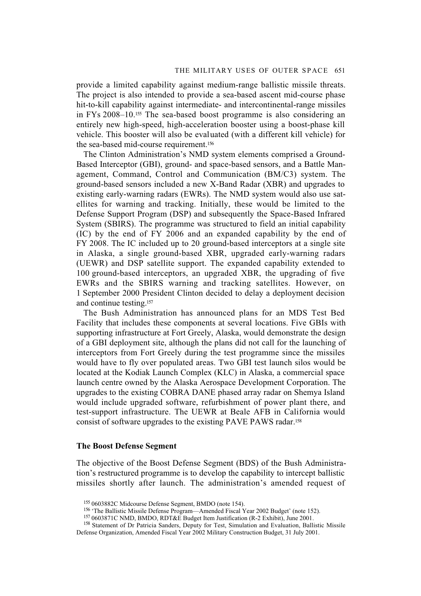provide a limited capability against medium-range ballistic missile threats. The project is also intended to provide a sea-based ascent mid-course phase hit-to-kill capability against intermediate- and intercontinental-range missiles in FYs 2008–10.155 The sea-based boost programme is also considering an entirely new high-speed, high-acceleration booster using a boost-phase kill vehicle. This booster will also be evaluated (with a different kill vehicle) for the sea-based mid-course requirement.<sup>156</sup>

The Clinton Administration's NMD system elements comprised a Ground-Based Interceptor (GBI), ground- and space-based sensors, and a Battle Management, Command, Control and Communication (BM/C3) system. The ground-based sensors included a new X-Band Radar (XBR) and upgrades to existing early-warning radars (EWRs). The NMD system would also use satellites for warning and tracking. Initially, these would be limited to the Defense Support Program (DSP) and subsequently the Space-Based Infrared System (SBIRS). The programme was structured to field an initial capability (IC) by the end of FY 2006 and an expanded capability by the end of FY 2008. The IC included up to 20 ground-based interceptors at a single site in Alaska, a single ground-based XBR, upgraded early-warning radars (UEWR) and DSP satellite support. The expanded capability extended to 100 ground-based interceptors, an upgraded XBR, the upgrading of five EWRs and the SBIRS warning and tracking satellites. However, on 1 September 2000 President Clinton decided to delay a deployment decision and continue testing.157

The Bush Administration has announced plans for an MDS Test Bed Facility that includes these components at several locations. Five GBIs with supporting infrastructure at Fort Greely, Alaska, would demonstrate the design of a GBI deployment site, although the plans did not call for the launching of interceptors from Fort Greely during the test programme since the missiles would have to fly over populated areas. Two GBI test launch silos would be located at the Kodiak Launch Complex (KLC) in Alaska, a commercial space launch centre owned by the Alaska Aerospace Development Corporation. The upgrades to the existing COBRA DANE phased array radar on Shemya Island would include upgraded software, refurbishment of power plant there, and test-support infrastructure. The UEWR at Beale AFB in California would consist of software upgrades to the existing PAVE PAWS radar.158

### **The Boost Defense Segment**

The objective of the Boost Defense Segment (BDS) of the Bush Administration's restructured programme is to develop the capability to intercept ballistic missiles shortly after launch. The administration's amended request of

<sup>155 0603882</sup>C Midcourse Defense Segment, BMDO (note 154).

<sup>156 &#</sup>x27;The Ballistic Missile Defense Program—Amended Fiscal Year 2002 Budget' (note 152).

<sup>157 0603871</sup>C NMD, BMDO, RDT&E Budget Item Justification (R-2 Exhibit), June 2001.

<sup>158</sup> Statement of Dr Patricia Sanders, Deputy for Test, Simulation and Evaluation, Ballistic Missile Defense Organization, Amended Fiscal Year 2002 Military Construction Budget, 31 July 2001.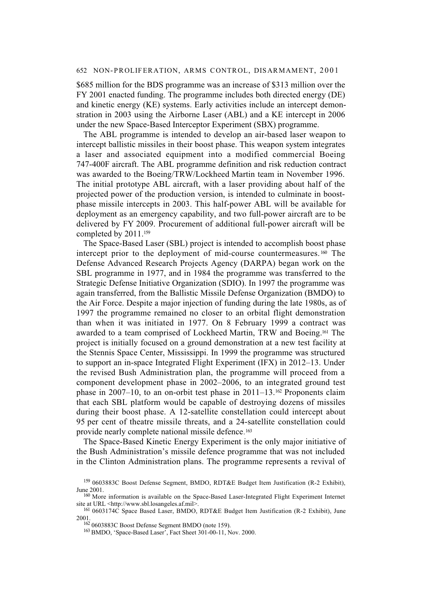\$685 million for the BDS programme was an increase of \$313 million over the FY 2001 enacted funding. The programme includes both directed energy (DE) and kinetic energy (KE) systems. Early activities include an intercept demonstration in 2003 using the Airborne Laser (ABL) and a KE intercept in 2006 under the new Space-Based Interceptor Experiment (SBX) programme.

The ABL programme is intended to develop an air-based laser weapon to intercept ballistic missiles in their boost phase. This weapon system integrates a laser and associated equipment into a modified commercial Boeing 747-400F aircraft. The ABL programme definition and risk reduction contract was awarded to the Boeing/TRW/Lockheed Martin team in November 1996. The initial prototype ABL aircraft, with a laser providing about half of the projected power of the production version, is intended to culminate in boostphase missile intercepts in 2003. This half-power ABL will be available for deployment as an emergency capability, and two full-power aircraft are to be delivered by FY 2009. Procurement of additional full-power aircraft will be completed by 2011.159

The Space-Based Laser (SBL) project is intended to accomplish boost phase intercept prior to the deployment of mid-course countermeasures.<sup>160</sup> The Defense Advanced Research Projects Agency (DARPA) began work on the SBL programme in 1977, and in 1984 the programme was transferred to the Strategic Defense Initiative Organization (SDIO). In 1997 the programme was again transferred, from the Ballistic Missile Defense Organization (BMDO) to the Air Force. Despite a major injection of funding during the late 1980s, as of 1997 the programme remained no closer to an orbital flight demonstration than when it was initiated in 1977. On 8 February 1999 a contract was awarded to a team comprised of Lockheed Martin, TRW and Boeing.161 The project is initially focused on a ground demonstration at a new test facility at the Stennis Space Center, Mississippi. In 1999 the programme was structured to support an in-space Integrated Flight Experiment (IFX) in 2012–13. Under the revised Bush Administration plan, the programme will proceed from a component development phase in 2002–2006, to an integrated ground test phase in 2007–10, to an on-orbit test phase in  $2011-13$ .<sup>162</sup> Proponents claim that each SBL platform would be capable of destroying dozens of missiles during their boost phase. A 12-satellite constellation could intercept about 95 per cent of theatre missile threats, and a 24-satellite constellation could provide nearly complete national missile defence. 163

The Space-Based Kinetic Energy Experiment is the only major initiative of the Bush Administration's missile defence programme that was not included in the Clinton Administration plans. The programme represents a revival of

<sup>159 0603883</sup>C Boost Defense Segment, BMDO, RDT&E Budget Item Justification (R-2 Exhibit), June 2001.

<sup>160</sup> More information is available on the Space-Based Laser-Integrated Flight Experiment Internet site at URL <http://www.sbl.losangeles.af.mil>.

<sup>&</sup>lt;sup>161</sup> 0603174C Space Based Laser, BMDO, RDT&E Budget Item Justification (R-2 Exhibit), June 2001.

<sup>162 0603883</sup>C Boost Defense Segment BMDO (note 159).

<sup>163</sup> BMDO, 'Space-Based Laser', Fact Sheet 301-00-11, Nov. 2000.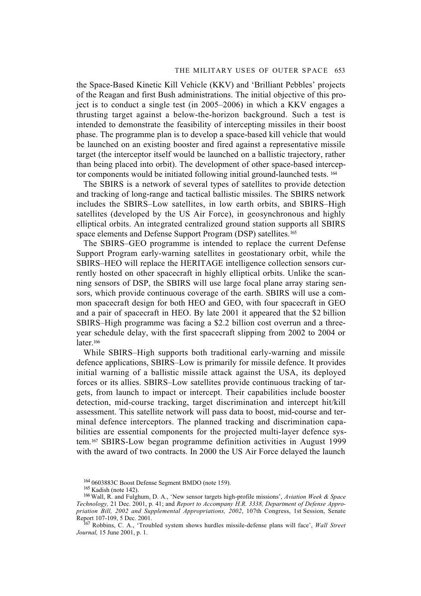### THE MILITARY USES OF OUTER SPACE 653

the Space-Based Kinetic Kill Vehicle (KKV) and 'Brilliant Pebbles' projects of the Reagan and first Bush administrations. The initial objective of this project is to conduct a single test (in 2005–2006) in which a KKV engages a thrusting target against a below-the-horizon background. Such a test is intended to demonstrate the feasibility of intercepting missiles in their boost phase. The programme plan is to develop a space-based kill vehicle that would be launched on an existing booster and fired against a representative missile target (the interceptor itself would be launched on a ballistic trajectory, rather than being placed into orbit). The development of other space-based interceptor components would be initiated following initial ground-launched tests. 164

The SBIRS is a network of several types of satellites to provide detection and tracking of long-range and tactical ballistic missiles. The SBIRS network includes the SBIRS–Low satellites, in low earth orbits, and SBIRS–High satellites (developed by the US Air Force), in geosynchronous and highly elliptical orbits. An integrated centralized ground station supports all SBIRS space elements and Defense Support Program (DSP) satellites.<sup>165</sup>

The SBIRS–GEO programme is intended to replace the current Defense Support Program early-warning satellites in geostationary orbit, while the SBIRS–HEO will replace the HERITAGE intelligence collection sensors currently hosted on other spacecraft in highly elliptical orbits. Unlike the scanning sensors of DSP, the SBIRS will use large focal plane array staring sensors, which provide continuous coverage of the earth. SBIRS will use a common spacecraft design for both HEO and GEO, with four spacecraft in GEO and a pair of spacecraft in HEO. By late 2001 it appeared that the \$2 billion SBIRS–High programme was facing a \$2.2 billion cost overrun and a threeyear schedule delay, with the first spacecraft slipping from 2002 to 2004 or later.<sup>166</sup>

While SBIRS–High supports both traditional early-warning and missile defence applications, SBIRS–Low is primarily for missile defence. It provides initial warning of a ballistic missile attack against the USA, its deployed forces or its allies. SBIRS–Low satellites provide continuous tracking of targets, from launch to impact or intercept. Their capabilities include booster detection, mid-course tracking, target discrimination and intercept hit/kill assessment. This satellite network will pass data to boost, mid-course and terminal defence interceptors. The planned tracking and discrimination capabilities are essential components for the projected multi-layer defence system.167 SBIRS-Low began programme definition activities in August 1999 with the award of two contracts. In 2000 the US Air Force delayed the launch

<sup>164 0603883</sup>C Boost Defense Segment BMDO (note 159).

<sup>165</sup> Kadish (note 142).

<sup>166</sup> Wall, R. and Fulghum, D. A., 'New sensor targets high-profile missions', *Aviation Week & Space Technology,* 21 Dec. 2001, p. 41; and *Report to Accompany H.R. 3338, Department of Defense Appropriation Bill, 2002 and Supplemental Appropriations, 2002*, 107th Congress, 1st Session, Senate Report 107-109, 5 Dec. 2001.

<sup>167</sup> Robbins, C. A., 'Troubled system shows hurdles missile-defense plans will face', *Wall Street Journal,* 15 June 2001, p. 1.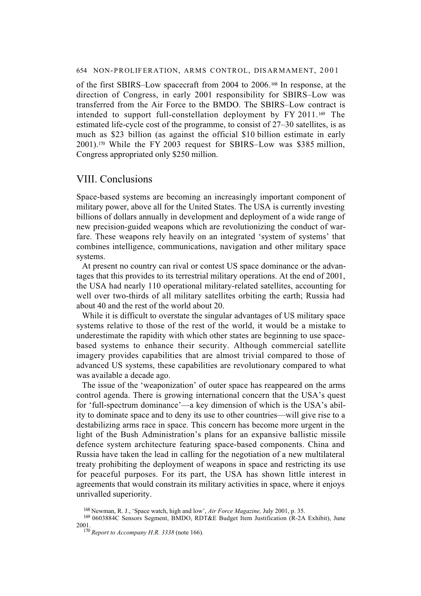of the first SBIRS–Low spacecraft from 2004 to 2006.168 In response, at the direction of Congress, in early 2001 responsibility for SBIRS–Low was transferred from the Air Force to the BMDO. The SBIRS–Low contract is intended to support full-constellation deployment by  $FY 2011.^{169}$  The estimated life-cycle cost of the programme, to consist of 27–30 satellites, is as much as \$23 billion (as against the official \$10 billion estimate in early 2001).170 While the FY 2003 request for SBIRS–Low was \$385 million, Congress appropriated only \$250 million.

## VIII. Conclusions

Space-based systems are becoming an increasingly important component of military power, above all for the United States. The USA is currently investing billions of dollars annually in development and deployment of a wide range of new precision-guided weapons which are revolutionizing the conduct of warfare. These weapons rely heavily on an integrated 'system of systems' that combines intelligence, communications, navigation and other military space systems.

At present no country can rival or contest US space dominance or the advantages that this provides to its terrestrial military operations. At the end of 2001, the USA had nearly 110 operational military-related satellites, accounting for well over two-thirds of all military satellites orbiting the earth; Russia had about 40 and the rest of the world about 20.

While it is difficult to overstate the singular advantages of US military space systems relative to those of the rest of the world, it would be a mistake to underestimate the rapidity with which other states are beginning to use spacebased systems to enhance their security. Although commercial satellite imagery provides capabilities that are almost trivial compared to those of advanced US systems, these capabilities are revolutionary compared to what was available a decade ago.

The issue of the 'weaponization' of outer space has reappeared on the arms control agenda. There is growing international concern that the USA's quest for 'full-spectrum dominance'—a key dimension of which is the USA's ability to dominate space and to deny its use to other countries—will give rise to a destabilizing arms race in space. This concern has become more urgent in the light of the Bush Administration's plans for an expansive ballistic missile defence system architecture featuring space-based components. China and Russia have taken the lead in calling for the negotiation of a new multilateral treaty prohibiting the deployment of weapons in space and restricting its use for peaceful purposes. For its part, the USA has shown little interest in agreements that would constrain its military activities in space, where it enjoys unrivalled superiority.

<sup>168</sup> Newman, R. J., 'Space watch, high and low', *Air Force Magazine,* July 2001, p. 35.

<sup>169 0603884</sup>C Sensors Segment, BMDO, RDT&E Budget Item Justification (R-2A Exhibit), June 2001.

<sup>170</sup> *Report to Accompany H.R. 3338* (note 166).